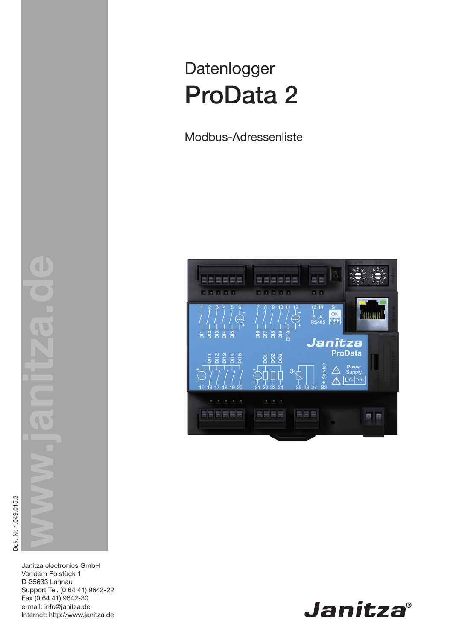# Datenlogger ProData 2

Modbus-Adressenliste



Janitza electronics GmbH Vor dem Polstück 1 D-35633 Lahnau Support Tel. (0 64 41) 9642-22 Fax (0 64 41) 9642-30 e-mail: info@janitza.de Internet: http://www.janitza.de

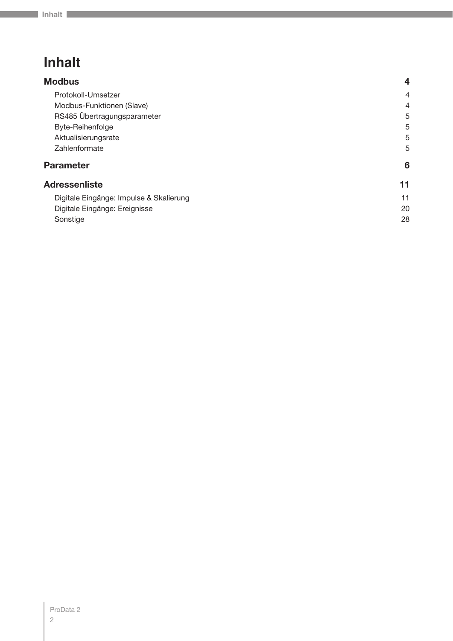## **Inhalt**

| <b>Modbus</b>                           | $\overline{\mathbf{4}}$ |
|-----------------------------------------|-------------------------|
| Protokoll-Umsetzer                      | 4                       |
| Modbus-Funktionen (Slave)               | 4                       |
| RS485 Übertragungsparameter             | 5                       |
| Byte-Reihenfolge                        | 5                       |
| Aktualisierungsrate                     | 5                       |
| Zahlenformate                           | 5                       |
| <b>Parameter</b>                        | 6                       |
| <b>Adressenliste</b>                    | 11                      |
| Digitale Eingänge: Impulse & Skalierung | 11                      |
| Digitale Eingänge: Ereignisse           | 20                      |
| Sonstige                                | 28                      |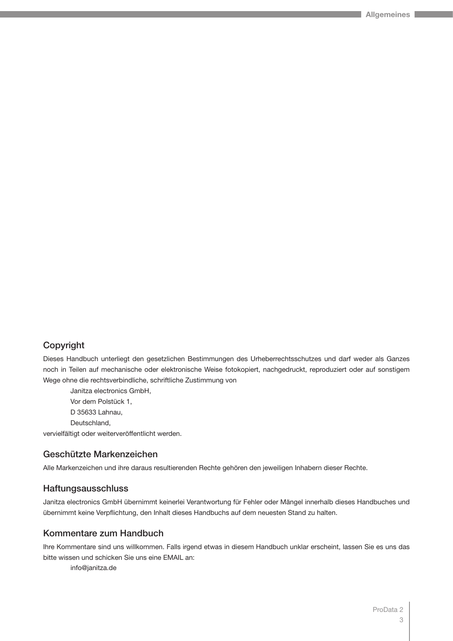### Copyright

Dieses Handbuch unterliegt den gesetzlichen Bestimmungen des Urheberrechtsschutzes und darf weder als Ganzes noch in Teilen auf mechanische oder elektronische Weise fotokopiert, nachgedruckt, reproduziert oder auf sonstigem Wege ohne die rechtsverbindliche, schriftliche Zustimmung von

Janitza electronics GmbH, Vor dem Polstück 1, D 35633 Lahnau,

Deutschland,

vervielfältigt oder weiterveröffentlicht werden.

### Geschützte Markenzeichen

Alle Markenzeichen und ihre daraus resultierenden Rechte gehören den jeweiligen Inhabern dieser Rechte.

#### Haftungsausschluss

Janitza electronics GmbH übernimmt keinerlei Verantwortung für Fehler oder Mängel innerhalb dieses Handbuches und übernimmt keine Verpflichtung, den Inhalt dieses Handbuchs auf dem neuesten Stand zu halten.

### Kommentare zum Handbuch

Ihre Kommentare sind uns willkommen. Falls irgend etwas in diesem Handbuch unklar erscheint, lassen Sie es uns das bitte wissen und schicken Sie uns eine EMAIL an:

info@janitza.de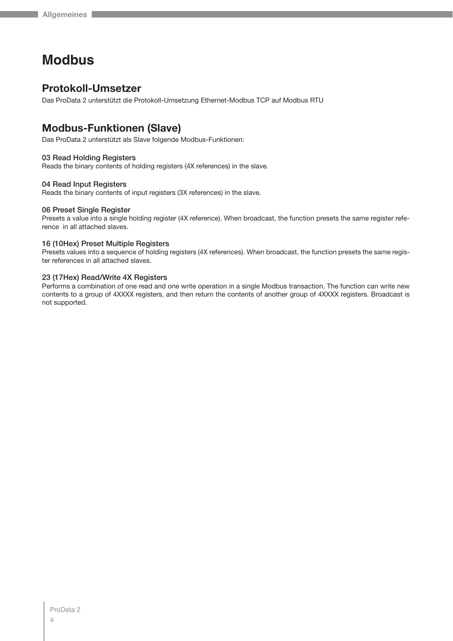## **Modbus**

## **Protokoll-Umsetzer**

Das ProData 2 unterstützt die Protokoll-Umsetzung Ethernet-Modbus TCP auf Modbus RTU

## **Modbus-Funktionen (Slave)**

Das ProData 2 unterstützt als Slave folgende Modbus-Funktionen:

#### 03 Read Holding Registers

Reads the binary contents of holding registers (4X references) in the slave.

#### 04 Read Input Registers

Reads the binary contents of input registers (3X references) in the slave.

#### 06 Preset Single Register

Presets a value into a single holding register (4X reference). When broadcast, the function presets the same register reference in all attached slaves.

#### 16 (10Hex) Preset Multiple Registers

Presets values into a sequence of holding registers (4X references). When broadcast, the function presets the same register references in all attached slaves.

#### 23 (17Hex) Read/Write 4X Registers

Performs a combination of one read and one write operation in a single Modbus transaction. The function can write new contents to a group of 4XXXX registers, and then return the contents of another group of 4XXXX registers. Broadcast is not supported.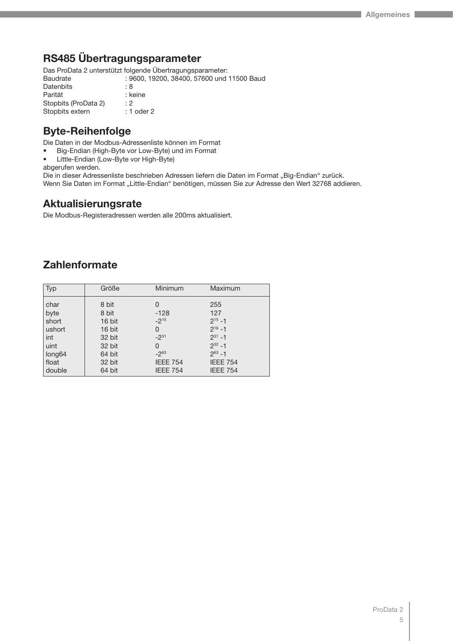## **RS485 Übertragungsparameter**

Das ProData 2 unterstützt folgende Übertragungsparameter:

| Baudrate             | : 9600, 19200, 38400, 57600 und 11500 Baud |
|----------------------|--------------------------------------------|
| Datenbits            | : 8                                        |
| Parität              | : keine                                    |
| Stopbits (ProData 2) | : 2                                        |
| Stopbits extern      | $: 1$ oder 2                               |
|                      |                                            |

## **Byte-Reihenfolge**

Die Daten in der Modbus-Adressenliste können im Format

- Big-Endian (High-Byte vor Low-Byte) und im Format
- Little-Endian (Low-Byte vor High-Byte)

abgerufen werden.

Die in dieser Adressenliste beschrieben Adressen liefern die Daten im Format "Big-Endian" zurück. Wenn Sie Daten im Format "Little-Endian" benötigen, müssen Sie zur Adresse den Wert 32768 addieren.

## **Aktualisierungsrate**

Die Modbus-Registeradressen werden alle 200ms aktualisiert.

## **Zahlenformate**

| <b>Typ</b>         | Größe  | Minimum         | Maximum         |
|--------------------|--------|-----------------|-----------------|
| char               | 8 bit  | 0               | 255             |
| byte               | 8 bit  | $-128$          | 127             |
| short              | 16 bit | $-2^{15}$       | $2^{15} - 1$    |
| ushort             | 16 bit | 0               | $2^{16} - 1$    |
| int                | 32 bit | $-2^{31}$       | $2^{31} - 1$    |
| uint               | 32 bit | 0               | $2^{32} - 1$    |
| long <sub>64</sub> | 64 bit | $-2^{63}$       | $2^{63} - 1$    |
| float              | 32 bit | <b>IEEE 754</b> | <b>IEEE 754</b> |
| double             | 64 bit | <b>IEEE 754</b> | <b>IEEE 754</b> |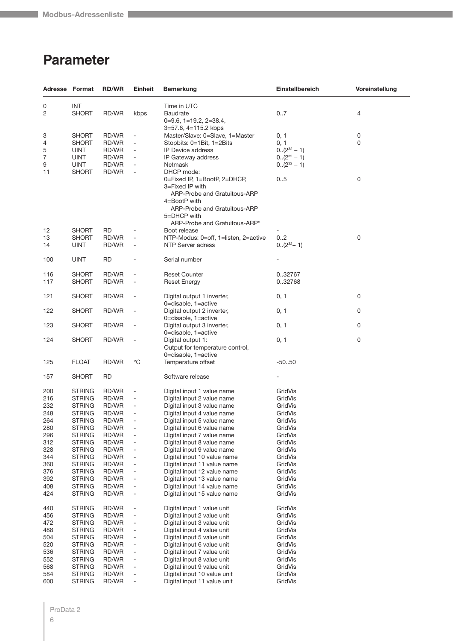## **Parameter**

|                | Adresse Format                 | <b>RD/WR</b>   | <b>Einheit</b>                                           | <b>Bemerkung</b>                                                                                | Einstellbereich    | Voreinstellung   |
|----------------|--------------------------------|----------------|----------------------------------------------------------|-------------------------------------------------------------------------------------------------|--------------------|------------------|
| 0              | INT                            |                |                                                          | Time in UTC                                                                                     |                    |                  |
| $\overline{2}$ | <b>SHORT</b>                   | RD/WR          | kbps                                                     | Baudrate                                                                                        | 07                 | 4                |
|                |                                |                |                                                          | $0=9.6$ , $1=19.2$ , $2=38.4$ ,                                                                 |                    |                  |
|                |                                |                |                                                          | 3=57.6, 4=115.2 kbps                                                                            |                    |                  |
| 3              | <b>SHORT</b>                   | RD/WR          |                                                          | Master/Slave: 0=Slave, 1=Master                                                                 | 0, 1               | 0                |
| 4              | <b>SHORT</b>                   | RD/WR          | ÷,                                                       | Stopbits: 0=1Bit, 1=2Bits                                                                       | 0, 1               | 0                |
| 5              | <b>UINT</b>                    | RD/WR          | $\bar{\phantom{a}}$                                      | IP Device address                                                                               | $0.(2^{32} - 1)$   |                  |
| 7              | <b>UINT</b>                    | RD/WR          |                                                          | IP Gateway address                                                                              | $0.(2^{32} - 1)$   |                  |
| 9              | <b>UINT</b>                    | RD/WR          |                                                          | Netmask                                                                                         | $0.(2^{32} - 1)$   |                  |
| 11             | SHORT                          | RD/WR          | L,                                                       | DHCP mode:                                                                                      |                    |                  |
|                |                                |                |                                                          | 0=Fixed IP, 1=BootP, 2=DHCP,<br>3=Fixed IP with<br>ARP-Probe and Gratuitous-ARP<br>4=BootP with | 05                 | $\boldsymbol{0}$ |
|                |                                |                |                                                          | ARP-Probe and Gratuitous-ARP<br>5=DHCP with<br>ARP-Probe and Gratuitous-ARP"                    |                    |                  |
| 12             | <b>SHORT</b>                   | RD             |                                                          | Boot release                                                                                    |                    |                  |
| 13             | <b>SHORT</b>                   | RD/WR          | L,                                                       | NTP-Modus: 0=off, 1=listen, 2=active                                                            | 0.2                | $\boldsymbol{0}$ |
| 14             | UINT                           | RD/WR          | $\overline{a}$                                           | NTP Server adress                                                                               | $0.(2^{32} - 1)$   |                  |
| 100            | <b>UINT</b>                    | <b>RD</b>      |                                                          | Serial number                                                                                   |                    |                  |
| 116            | <b>SHORT</b>                   | RD/WR          | Ĭ.                                                       | <b>Reset Counter</b>                                                                            | 0.32767            |                  |
| 117            | <b>SHORT</b>                   | RD/WR          | $\qquad \qquad \blacksquare$                             | <b>Reset Energy</b>                                                                             | 0.32768            |                  |
| 121            | <b>SHORT</b>                   | RD/WR          | ÷,                                                       | Digital output 1 inverter,                                                                      | 0, 1               | 0                |
|                |                                |                |                                                          | 0=disable, 1=active                                                                             |                    |                  |
| 122            | <b>SHORT</b>                   | RD/WR          | L,                                                       | Digital output 2 inverter,                                                                      | 0, 1               | 0                |
| 123            | <b>SHORT</b>                   | RD/WR          | $\overline{\phantom{0}}$                                 | 0=disable, 1=active<br>Digital output 3 inverter,                                               | 0, 1               | 0                |
|                |                                |                |                                                          | 0=disable, 1=active                                                                             |                    |                  |
| 124            | <b>SHORT</b>                   | RD/WR          |                                                          | Digital output 1:                                                                               | 0, 1               | 0                |
|                |                                |                |                                                          | Output for temperature control,                                                                 |                    |                  |
|                |                                |                |                                                          | 0=disable, 1=active                                                                             |                    |                  |
| 125            | <b>FLOAT</b>                   | RD/WR          | $^{\circ}C$                                              | Temperature offset                                                                              | $-50.50$           |                  |
| 157            | <b>SHORT</b>                   | RD             |                                                          | Software release                                                                                |                    |                  |
|                |                                |                |                                                          |                                                                                                 |                    |                  |
| 200            | <b>STRING</b>                  | RD/WR          | $\overline{a}$                                           | Digital input 1 value name                                                                      | GridVis            |                  |
| 216            | <b>STRING</b>                  | RD/WR          |                                                          | Digital input 2 value name                                                                      | GridVis            |                  |
| 232            | <b>STRING</b>                  | RD/WR          | $\qquad \qquad \blacksquare$                             | Digital input 3 value name                                                                      | GridVis            |                  |
| 248            | <b>STRING</b>                  | RD/WR          |                                                          | Digital input 4 value name                                                                      | GridVis            |                  |
| 264            | STRING                         | RD/WR          | ÷,                                                       | Digital input 5 value name                                                                      | GridVis            |                  |
| 280            | STRING                         | RD/WR          |                                                          | Digital input 6 value name                                                                      | GridVis            |                  |
| 296            | <b>STRING</b>                  | RD/WR          |                                                          | Digital input 7 value name                                                                      | GridVis            |                  |
| 312            | <b>STRING</b><br><b>STRING</b> | RD/WR          | $\overline{\phantom{0}}$<br>$\qquad \qquad \blacksquare$ | Digital input 8 value name                                                                      | GridVis<br>GridVis |                  |
| 328<br>344     | <b>STRING</b>                  | RD/WR<br>RD/WR | $\qquad \qquad \blacksquare$                             | Digital input 9 value name<br>Digital input 10 value name                                       | GridVis            |                  |
| 360            | <b>STRING</b>                  | RD/WR          | ÷,                                                       | Digital input 11 value name                                                                     | GridVis            |                  |
| 376            | <b>STRING</b>                  | RD/WR          |                                                          | Digital input 12 value name                                                                     | GridVis            |                  |
| 392            | <b>STRING</b>                  | RD/WR          | $\qquad \qquad \blacksquare$                             | Digital input 13 value name                                                                     | GridVis            |                  |
| 408            | <b>STRING</b>                  | RD/WR          | ÷                                                        | Digital input 14 value name                                                                     | GridVis            |                  |
| 424            | <b>STRING</b>                  | RD/WR          | ÷,                                                       | Digital input 15 value name                                                                     | GridVis            |                  |
| 440            | <b>STRING</b>                  | RD/WR          |                                                          | Digital input 1 value unit                                                                      | GridVis            |                  |
| 456            | <b>STRING</b>                  | RD/WR          | $\qquad \qquad \blacksquare$                             | Digital input 2 value unit                                                                      | GridVis            |                  |
| 472            | <b>STRING</b>                  | RD/WR          | $\overline{\phantom{0}}$                                 | Digital input 3 value unit                                                                      | GridVis            |                  |
| 488            | STRING                         | RD/WR          | ÷,                                                       | Digital input 4 value unit                                                                      | GridVis            |                  |
| 504            | <b>STRING</b>                  | RD/WR          | ÷,                                                       | Digital input 5 value unit                                                                      | GridVis            |                  |
| 520            | <b>STRING</b>                  | RD/WR          | $\overline{\phantom{0}}$                                 | Digital input 6 value unit                                                                      | GridVis            |                  |
| 536            | <b>STRING</b>                  | RD/WR          | $\qquad \qquad \blacksquare$                             | Digital input 7 value unit                                                                      | GridVis            |                  |
| 552            | <b>STRING</b>                  | RD/WR          | ÷                                                        | Digital input 8 value unit                                                                      | GridVis            |                  |
| 568            | <b>STRING</b>                  | RD/WR          | ÷,                                                       | Digital input 9 value unit                                                                      | GridVis            |                  |
| 584            | <b>STRING</b>                  | RD/WR          |                                                          | Digital input 10 value unit                                                                     | GridVis            |                  |
| 600            | <b>STRING</b>                  | RD/WR          | $\qquad \qquad \blacksquare$                             | Digital input 11 value unit                                                                     | GridVis            |                  |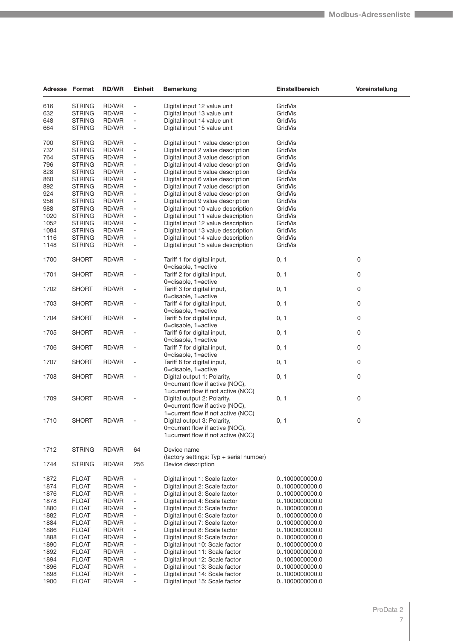| Adresse | Format        | <b>RD/WR</b> | <b>Einheit</b>               | <b>Bemerkung</b>                                                      | Einstellbereich                | Voreinstellung |
|---------|---------------|--------------|------------------------------|-----------------------------------------------------------------------|--------------------------------|----------------|
| 616     | <b>STRING</b> | RD/WR        |                              | Digital input 12 value unit                                           | GridVis                        |                |
| 632     | <b>STRING</b> | RD/WR        |                              | Digital input 13 value unit                                           | GridVis                        |                |
|         |               |              |                              |                                                                       |                                |                |
| 648     | <b>STRING</b> | RD/WR        | $\overline{\phantom{a}}$     | Digital input 14 value unit                                           | GridVis                        |                |
| 664     | <b>STRING</b> | RD/WR        | $\blacksquare$               | Digital input 15 value unit                                           | GridVis                        |                |
| 700     | <b>STRING</b> | RD/WR        |                              | Digital input 1 value description                                     | GridVis                        |                |
| 732     | <b>STRING</b> | RD/WR        |                              | Digital input 2 value description                                     | GridVis                        |                |
| 764     | <b>STRING</b> | RD/WR        | $\overline{\phantom{a}}$     | Digital input 3 value description                                     | GridVis                        |                |
| 796     | <b>STRING</b> | RD/WR        | $\blacksquare$               | Digital input 4 value description                                     | <b>GridVis</b>                 |                |
| 828     | <b>STRING</b> | RD/WR        | $\blacksquare$               | Digital input 5 value description                                     | GridVis                        |                |
| 860     | <b>STRING</b> | RD/WR        | $\overline{\phantom{a}}$     | Digital input 6 value description                                     | GridVis                        |                |
| 892     | <b>STRING</b> | RD/WR        |                              | Digital input 7 value description                                     | GridVis                        |                |
| 924     | <b>STRING</b> | RD/WR        | $\overline{\phantom{a}}$     | Digital input 8 value description                                     | GridVis                        |                |
| 956     | <b>STRING</b> | RD/WR        | $\overline{\phantom{a}}$     | Digital input 9 value description                                     | GridVis                        |                |
| 988     | <b>STRING</b> | RD/WR        | $\overline{\phantom{a}}$     | Digital input 10 value description                                    | GridVis                        |                |
| 1020    | <b>STRING</b> | RD/WR        |                              | Digital input 11 value description                                    | GridVis                        |                |
| 1052    | <b>STRING</b> | RD/WR        |                              | Digital input 12 value description                                    | GridVis                        |                |
| 1084    | <b>STRING</b> | RD/WR        | $\overline{\phantom{a}}$     | Digital input 13 value description                                    | GridVis                        |                |
| 1116    | <b>STRING</b> | RD/WR        | ÷,                           | Digital input 14 value description                                    | GridVis                        |                |
| 1148    | <b>STRING</b> | RD/WR        | $\blacksquare$               | Digital input 15 value description                                    | GridVis                        |                |
|         |               |              |                              |                                                                       |                                |                |
| 1700    | <b>SHORT</b>  | RD/WR        |                              | Tariff 1 for digital input,<br>0=disable, 1=active                    | 0, 1                           | 0              |
| 1701    | <b>SHORT</b>  | RD/WR        | $\qquad \qquad \blacksquare$ | Tariff 2 for digital input,<br>0=disable, 1=active                    | 0, 1                           | 0              |
| 1702    | <b>SHORT</b>  | RD/WR        |                              | Tariff 3 for digital input,<br>0=disable, 1=active                    | 0, 1                           | 0              |
| 1703    | <b>SHORT</b>  | RD/WR        |                              | Tariff 4 for digital input,                                           | 0, 1                           | 0              |
| 1704    | <b>SHORT</b>  | RD/WR        | $\overline{\phantom{a}}$     | 0=disable, 1=active<br>Tariff 5 for digital input,                    | 0, 1                           | 0              |
| 1705    | <b>SHORT</b>  | RD/WR        |                              | 0=disable, 1=active<br>Tariff 6 for digital input,                    | 0, 1                           | 0              |
| 1706    | <b>SHORT</b>  | RD/WR        |                              | 0=disable, 1=active<br>Tariff 7 for digital input,                    | 0, 1                           | 0              |
| 1707    | <b>SHORT</b>  | RD/WR        |                              | 0=disable, 1=active<br>Tariff 8 for digital input,                    | 0, 1                           | 0              |
| 1708    | <b>SHORT</b>  | RD/WR        |                              | 0=disable, 1=active<br>Digital output 1: Polarity,                    | 0, 1                           | 0              |
|         |               |              |                              | 0=current flow if active (NOC),<br>1=current flow if not active (NCC) |                                |                |
| 1709    | <b>SHORT</b>  | RD/WR        |                              | Digital output 2: Polarity,                                           | 0, 1                           | 0              |
|         |               |              |                              | 0=current flow if active (NOC),<br>1=current flow if not active (NCC) |                                |                |
| 1710    | <b>SHORT</b>  | RD/WR        |                              | Digital output 3: Polarity,<br>0=current flow if active (NOC),        | 0, 1                           | 0              |
|         |               |              |                              | 1=current flow if not active (NCC)                                    |                                |                |
| 1712    | <b>STRING</b> | RD/WR        | 64                           | Device name                                                           |                                |                |
| 1744    | <b>STRING</b> | RD/WR        | 256                          | (factory settings: Typ + serial number)<br>Device description         |                                |                |
| 1872    | <b>FLOAT</b>  | RD/WR        |                              | Digital input 1: Scale factor                                         | 01000000000.0                  |                |
| 1874    | <b>FLOAT</b>  | RD/WR        |                              | Digital input 2: Scale factor                                         | 01000000000.0                  |                |
| 1876    | <b>FLOAT</b>  | RD/WR        | $\qquad \qquad \blacksquare$ | Digital input 3: Scale factor                                         | 01000000000.0                  |                |
| 1878    | <b>FLOAT</b>  | RD/WR        |                              | Digital input 4: Scale factor                                         | 01000000000.0                  |                |
| 1880    | <b>FLOAT</b>  | RD/WR        | $\overline{\phantom{a}}$     | Digital input 5: Scale factor                                         | 01000000000.0                  |                |
| 1882    | <b>FLOAT</b>  | RD/WR        |                              | Digital input 6: Scale factor                                         |                                |                |
| 1884    | <b>FLOAT</b>  | RD/WR        | $\overline{\phantom{a}}$     | Digital input 7: Scale factor                                         | 01000000000.0<br>01000000000.0 |                |
|         |               |              |                              |                                                                       |                                |                |
| 1886    | <b>FLOAT</b>  | RD/WR        |                              | Digital input 8: Scale factor                                         | 01000000000.0                  |                |
| 1888    | <b>FLOAT</b>  | RD/WR        |                              | Digital input 9: Scale factor                                         | 01000000000.0                  |                |
| 1890    | <b>FLOAT</b>  | RD/WR        | $\qquad \qquad \blacksquare$ | Digital input 10: Scale factor                                        | 01000000000.0                  |                |
| 1892    | <b>FLOAT</b>  | RD/WR        | $\overline{\phantom{a}}$     | Digital input 11: Scale factor                                        | 01000000000.0                  |                |
| 1894    | <b>FLOAT</b>  | RD/WR        | $\overline{\phantom{a}}$     | Digital input 12: Scale factor                                        | 01000000000.0                  |                |
| 1896    | <b>FLOAT</b>  | RD/WR        |                              | Digital input 13: Scale factor                                        | 01000000000.0                  |                |
| 1898    | <b>FLOAT</b>  | RD/WR        |                              | Digital input 14: Scale factor                                        | 01000000000.0                  |                |
| 1900    | <b>FLOAT</b>  | RD/WR        | $\qquad \qquad \blacksquare$ | Digital input 15: Scale factor                                        | 01000000000.0                  |                |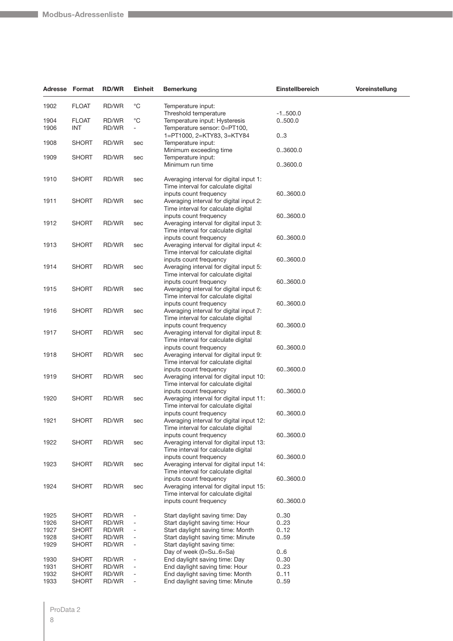|                              | Adresse Format                                               | <b>RD/WR</b>                     | <b>Einheit</b>                                           | <b>Bemerkung</b>                                                                                                                               | Einstellbereich              | Voreinstellung |
|------------------------------|--------------------------------------------------------------|----------------------------------|----------------------------------------------------------|------------------------------------------------------------------------------------------------------------------------------------------------|------------------------------|----------------|
| 1902                         | <b>FLOAT</b>                                                 | RD/WR                            | °C                                                       | Temperature input:                                                                                                                             |                              |                |
| 1904<br>1906                 | <b>FLOAT</b><br><b>INT</b>                                   | RD/WR<br>RD/WR                   | $^{\circ}C$<br>۰                                         | Threshold temperature<br>Temperature input: Hysteresis<br>Temperature sensor: 0=PT100,                                                         | $-1.500.0$<br>0500.0         |                |
| 1908                         | <b>SHORT</b>                                                 | RD/WR                            | sec                                                      | 1=PT1000, 2=KTY83, 3=KTY84<br>Temperature input:                                                                                               | 03                           |                |
|                              |                                                              |                                  |                                                          | Minimum exceeding time                                                                                                                         | 03600.0                      |                |
| 1909                         | <b>SHORT</b>                                                 | RD/WR                            | sec                                                      | Temperature input:<br>Minimum run time                                                                                                         | 03600.0                      |                |
| 1910                         | <b>SHORT</b>                                                 | RD/WR                            | sec                                                      | Averaging interval for digital input 1:<br>Time interval for calculate digital                                                                 |                              |                |
| 1911                         | <b>SHORT</b>                                                 | RD/WR                            | sec                                                      | inputs count frequency<br>Averaging interval for digital input 2:<br>Time interval for calculate digital                                       | 603600.0                     |                |
| 1912                         | <b>SHORT</b>                                                 | RD/WR                            | sec                                                      | inputs count frequency<br>Averaging interval for digital input 3:<br>Time interval for calculate digital                                       | 603600.0                     |                |
| 1913                         | <b>SHORT</b>                                                 | RD/WR                            | sec                                                      | inputs count frequency<br>Averaging interval for digital input 4:<br>Time interval for calculate digital                                       | 603600.0                     |                |
| 1914                         | <b>SHORT</b>                                                 | RD/WR                            | sec                                                      | inputs count frequency<br>Averaging interval for digital input 5:<br>Time interval for calculate digital                                       | 60.3600.0                    |                |
| 1915                         | <b>SHORT</b>                                                 | RD/WR                            | sec                                                      | inputs count frequency<br>Averaging interval for digital input 6:<br>Time interval for calculate digital                                       | 603600.0                     |                |
| 1916                         | <b>SHORT</b>                                                 | RD/WR                            | sec                                                      | inputs count frequency<br>Averaging interval for digital input 7:<br>Time interval for calculate digital                                       | 603600.0                     |                |
| 1917                         | <b>SHORT</b>                                                 | RD/WR                            | sec                                                      | inputs count frequency<br>Averaging interval for digital input 8:<br>Time interval for calculate digital                                       | 603600.0                     |                |
| 1918                         | <b>SHORT</b>                                                 | RD/WR                            | sec                                                      | inputs count frequency<br>Averaging interval for digital input 9:<br>Time interval for calculate digital                                       | 603600.0                     |                |
| 1919                         | <b>SHORT</b>                                                 | RD/WR                            | sec                                                      | inputs count frequency<br>Averaging interval for digital input 10:<br>Time interval for calculate digital                                      | 603600.0                     |                |
| 1920                         | <b>SHORT</b>                                                 | RD/WR                            | sec                                                      | inputs count frequency<br>Averaging interval for digital input 11:<br>Time interval for calculate digital                                      | 603600.0                     |                |
| 1921                         | <b>SHORT</b>                                                 | RD/WR                            | sec                                                      | inputs count frequency<br>Averaging interval for digital input 12:<br>Time interval for calculate digital                                      | 603600.0                     |                |
| 1922                         | <b>SHORT</b>                                                 | RD/WR                            | sec                                                      | inputs count frequency<br>Averaging interval for digital input 13:<br>Time interval for calculate digital                                      | 603600.0                     |                |
| 1923                         | <b>SHORT</b>                                                 | RD/WR                            | sec                                                      | inputs count frequency<br>Averaging interval for digital input 14:<br>Time interval for calculate digital                                      | 60.3600.0                    |                |
| 1924                         | <b>SHORT</b>                                                 | RD/WR                            | sec                                                      | inputs count frequency<br>Averaging interval for digital input 15:<br>Time interval for calculate digital                                      | 603600.0                     |                |
|                              |                                                              |                                  |                                                          | inputs count frequency                                                                                                                         | 603600.0                     |                |
| 1925<br>1926<br>1927<br>1928 | <b>SHORT</b><br><b>SHORT</b><br><b>SHORT</b><br><b>SHORT</b> | RD/WR<br>RD/WR<br>RD/WR<br>RD/WR | -<br>$\overline{a}$<br>÷<br>$\qquad \qquad \blacksquare$ | Start daylight saving time: Day<br>Start daylight saving time: Hour<br>Start daylight saving time: Month<br>Start daylight saving time: Minute | 0.30<br>0.23<br>0.12<br>0.59 |                |
| 1929                         | <b>SHORT</b>                                                 | RD/WR<br>RD/WR                   | $\overline{a}$                                           | Start daylight saving time:<br>Day of week (0=Su6=Sa)<br>End daylight saving time: Day                                                         | 06                           |                |
| 1930<br>1931<br>1932<br>1933 | <b>SHORT</b><br><b>SHORT</b><br><b>SHORT</b><br><b>SHORT</b> | RD/WR<br>RD/WR<br>RD/WR          | -<br>÷,<br>÷<br>$\overline{\phantom{0}}$                 | End daylight saving time: Hour<br>End daylight saving time: Month<br>End daylight saving time: Minute                                          | 030<br>0.23<br>0.11<br>0.59  |                |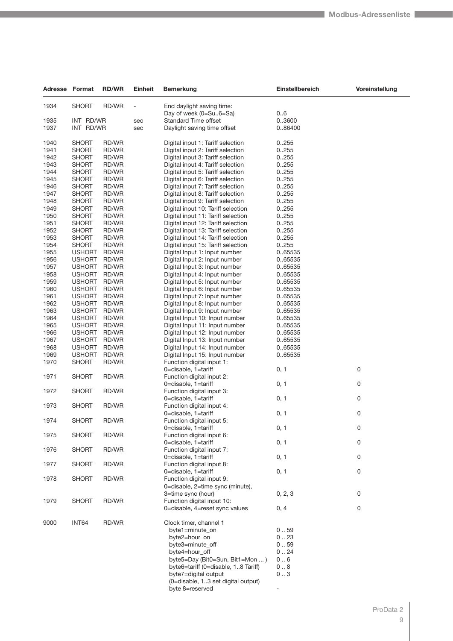| Adresse Format |               | <b>RD/WR</b> | <b>Einheit</b> | <b>Bemerkung</b>                                    | Einstellbereich | Voreinstellung |
|----------------|---------------|--------------|----------------|-----------------------------------------------------|-----------------|----------------|
| 1934           | <b>SHORT</b>  | RD/WR        |                | End daylight saving time:<br>Day of week (0=Su6=Sa) | 06              |                |
| 1935           | INT RD/WR     |              | sec            | <b>Standard Time offset</b>                         | 0.3600          |                |
|                | INT RD/WR     |              |                |                                                     |                 |                |
| 1937           |               |              | sec            | Daylight saving time offset                         | 0.86400         |                |
| 1940           | <b>SHORT</b>  | RD/WR        |                | Digital input 1: Tariff selection                   | 0255            |                |
| 1941           | <b>SHORT</b>  | RD/WR        |                | Digital input 2: Tariff selection                   | 0255            |                |
| 1942           | <b>SHORT</b>  | RD/WR        |                | Digital input 3: Tariff selection                   | 0255            |                |
| 1943           | <b>SHORT</b>  | RD/WR        |                | Digital input 4: Tariff selection                   | 0255            |                |
|                | <b>SHORT</b>  |              |                |                                                     |                 |                |
| 1944           |               | RD/WR        |                | Digital input 5: Tariff selection                   | 0255            |                |
| 1945           | <b>SHORT</b>  | RD/WR        |                | Digital input 6: Tariff selection                   | 0255            |                |
| 1946           | <b>SHORT</b>  | RD/WR        |                | Digital input 7: Tariff selection                   | 0255            |                |
| 1947           | <b>SHORT</b>  | RD/WR        |                | Digital input 8: Tariff selection                   | 0255            |                |
| 1948           | <b>SHORT</b>  | RD/WR        |                | Digital input 9: Tariff selection                   | 0255            |                |
| 1949           | <b>SHORT</b>  | RD/WR        |                | Digital input 10: Tariff selection                  | 0255            |                |
| 1950           | <b>SHORT</b>  | RD/WR        |                |                                                     | 0255            |                |
|                |               |              |                | Digital input 11: Tariff selection                  |                 |                |
| 1951           | <b>SHORT</b>  | RD/WR        |                | Digital input 12: Tariff selection                  | 0255            |                |
| 1952           | <b>SHORT</b>  | RD/WR        |                | Digital input 13: Tariff selection                  | 0255            |                |
| 1953           | <b>SHORT</b>  | RD/WR        |                | Digital input 14: Tariff selection                  | 0255            |                |
| 1954           | <b>SHORT</b>  | RD/WR        |                | Digital input 15: Tariff selection                  | 0255            |                |
| 1955           | <b>USHORT</b> | RD/WR        |                | Digital Input 1: Input number                       | 0.65535         |                |
| 1956           | <b>USHORT</b> | RD/WR        |                | Digital Input 2: Input number                       | 0.65535         |                |
| 1957           |               |              |                | Digital Input 3: Input number                       | 0.65535         |                |
|                | <b>USHORT</b> | RD/WR        |                |                                                     |                 |                |
| 1958           | <b>USHORT</b> | RD/WR        |                | Digital Input 4: Input number                       | 0.65535         |                |
| 1959           | <b>USHORT</b> | RD/WR        |                | Digital Input 5: Input number                       | 0.65535         |                |
| 1960           | <b>USHORT</b> | RD/WR        |                | Digital Input 6: Input number                       | 0.65535         |                |
| 1961           | <b>USHORT</b> | RD/WR        |                | Digital Input 7: Input number                       | 0.65535         |                |
| 1962           | <b>USHORT</b> | RD/WR        |                | Digital Input 8: Input number                       | 0.65535         |                |
| 1963           | <b>USHORT</b> | RD/WR        |                | Digital Input 9: Input number                       | 0.65535         |                |
|                |               |              |                |                                                     |                 |                |
| 1964           | <b>USHORT</b> | RD/WR        |                | Digital Input 10: Input number                      | 0.65535         |                |
| 1965           | <b>USHORT</b> | RD/WR        |                | Digital Input 11: Input number                      | 0.65535         |                |
| 1966           | <b>USHORT</b> | RD/WR        |                | Digital Input 12: Input number                      | 0.65535         |                |
| 1967           | <b>USHORT</b> | RD/WR        |                | Digital Input 13: Input number                      | 0.65535         |                |
| 1968           | <b>USHORT</b> | RD/WR        |                | Digital Input 14: Input number                      | 0.65535         |                |
| 1969           | <b>USHORT</b> | RD/WR        |                | Digital Input 15: Input number                      | 0.65535         |                |
| 1970           | <b>SHORT</b>  | RD/WR        |                | Function digital input 1:                           |                 |                |
|                |               |              |                | 0=disable, 1=tariff                                 | 0, 1            | 0              |
|                |               |              |                |                                                     |                 |                |
| 1971           | <b>SHORT</b>  | RD/WR        |                | Function digital input 2:                           |                 |                |
|                |               |              |                | 0=disable, 1=tariff                                 | 0, 1            | 0              |
| 1972           | <b>SHORT</b>  | RD/WR        |                | Function digital input 3:                           |                 |                |
|                |               |              |                | 0=disable, 1=tariff                                 | 0, 1            | 0              |
| 1973           | <b>SHORT</b>  | RD/WR        |                | Function digital input 4:                           |                 |                |
|                |               |              |                | 0=disable, 1=tariff                                 | 0, 1            | $\pmb{0}$      |
| 1974           | <b>SHORT</b>  | RD/WR        |                | Function digital input 5:                           |                 |                |
|                |               |              |                | 0=disable, 1=tariff                                 | 0, 1            | 0              |
| 1975           | <b>SHORT</b>  | RD/WR        |                | Function digital input 6:                           |                 |                |
|                |               |              |                |                                                     |                 |                |
|                |               |              |                | 0=disable, 1=tariff                                 | 0, 1            | 0              |
| 1976           | <b>SHORT</b>  | RD/WR        |                | Function digital input 7:                           |                 |                |
|                |               |              |                | 0=disable, 1=tariff                                 | 0, 1            | 0              |
| 1977           | <b>SHORT</b>  | RD/WR        |                | Function digital input 8:                           |                 |                |
|                |               |              |                | 0=disable, 1=tariff                                 | 0, 1            | 0              |
| 1978           | <b>SHORT</b>  | RD/WR        |                | Function digital input 9:                           |                 |                |
|                |               |              |                | 0=disable, 2=time sync (minute),                    |                 |                |
|                |               |              |                | 3=time sync (hour)                                  | 0, 2, 3         | 0              |
|                |               |              |                |                                                     |                 |                |
| 1979           | <b>SHORT</b>  | RD/WR        |                | Function digital input 10:                          |                 |                |
|                |               |              |                | 0=disable, 4=reset sync values                      | 0, 4            | 0              |
| 9000           | INT64         | RD/WR        |                | Clock timer, channel 1                              |                 |                |
|                |               |              |                |                                                     |                 |                |
|                |               |              |                | byte1=minute_on                                     | 0.59            |                |
|                |               |              |                | byte2=hour_on                                       | 0.23            |                |
|                |               |              |                | byte3=minute_off                                    | 0.59            |                |
|                |               |              |                | byte4=hour_off                                      | 0.24            |                |
|                |               |              |                | byte5=Day (Bit0=Sun, Bit1=Mon )                     | 0.6             |                |
|                |               |              |                | byte6=tariff (0=disable, 1.8 Tariff)                | 08              |                |
|                |               |              |                | byte7=digital output                                | 03              |                |
|                |               |              |                |                                                     |                 |                |
|                |               |              |                | (0=disable, 13 set digital output)                  |                 |                |
|                |               |              |                | byte 8=reserved                                     |                 |                |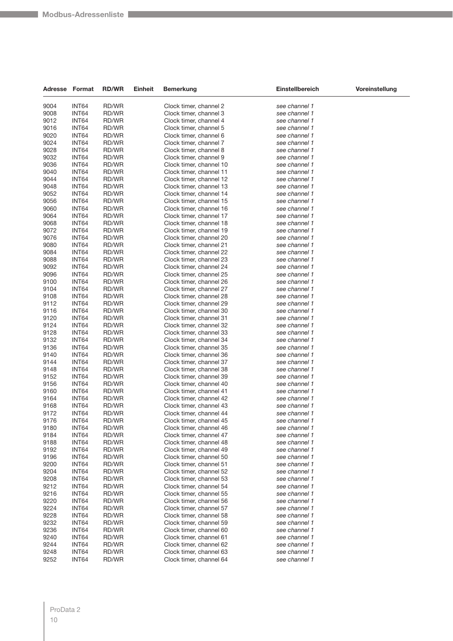| Adresse Format |       | <b>RD/WR</b> | <b>Einheit</b> | Bemerkung               | Einstellbereich | Voreinstellung |
|----------------|-------|--------------|----------------|-------------------------|-----------------|----------------|
| 9004           | INT64 | RD/WR        |                | Clock timer, channel 2  | see channel 1   |                |
| 9008           | INT64 | RD/WR        |                | Clock timer, channel 3  | see channel 1   |                |
| 9012           | INT64 | RD/WR        |                | Clock timer, channel 4  | see channel 1   |                |
| 9016           | INT64 | RD/WR        |                | Clock timer, channel 5  | see channel 1   |                |
| 9020           | INT64 | RD/WR        |                | Clock timer, channel 6  | see channel 1   |                |
|                |       |              |                |                         | see channel 1   |                |
| 9024           | INT64 | RD/WR        |                | Clock timer, channel 7  |                 |                |
| 9028           | INT64 | RD/WR        |                | Clock timer, channel 8  | see channel 1   |                |
| 9032           | INT64 | RD/WR        |                | Clock timer, channel 9  | see channel 1   |                |
| 9036           | INT64 | RD/WR        |                | Clock timer, channel 10 | see channel 1   |                |
| 9040           | INT64 | RD/WR        |                | Clock timer, channel 11 | see channel 1   |                |
| 9044           | INT64 | RD/WR        |                | Clock timer, channel 12 | see channel 1   |                |
| 9048           | INT64 | RD/WR        |                | Clock timer, channel 13 | see channel 1   |                |
| 9052           | INT64 | RD/WR        |                | Clock timer, channel 14 | see channel 1   |                |
| 9056           | INT64 | RD/WR        |                | Clock timer, channel 15 | see channel 1   |                |
| 9060           | INT64 | RD/WR        |                | Clock timer, channel 16 | see channel 1   |                |
| 9064           | INT64 | RD/WR        |                | Clock timer, channel 17 | see channel 1   |                |
| 9068           | INT64 | RD/WR        |                | Clock timer, channel 18 | see channel 1   |                |
| 9072           | INT64 | RD/WR        |                | Clock timer, channel 19 | see channel 1   |                |
|                | INT64 |              |                |                         |                 |                |
| 9076           |       | RD/WR        |                | Clock timer, channel 20 | see channel 1   |                |
| 9080           | INT64 | RD/WR        |                | Clock timer, channel 21 | see channel 1   |                |
| 9084           | INT64 | RD/WR        |                | Clock timer, channel 22 | see channel 1   |                |
| 9088           | INT64 | RD/WR        |                | Clock timer, channel 23 | see channel 1   |                |
| 9092           | INT64 | RD/WR        |                | Clock timer, channel 24 | see channel 1   |                |
| 9096           | INT64 | RD/WR        |                | Clock timer, channel 25 | see channel 1   |                |
| 9100           | INT64 | RD/WR        |                | Clock timer, channel 26 | see channel 1   |                |
| 9104           | INT64 | RD/WR        |                | Clock timer, channel 27 | see channel 1   |                |
| 9108           | INT64 | RD/WR        |                | Clock timer, channel 28 | see channel 1   |                |
| 9112           | INT64 | RD/WR        |                | Clock timer, channel 29 | see channel 1   |                |
| 9116           | INT64 | RD/WR        |                | Clock timer, channel 30 | see channel 1   |                |
| 9120           | INT64 | RD/WR        |                | Clock timer, channel 31 | see channel 1   |                |
| 9124           | INT64 | RD/WR        |                | Clock timer, channel 32 | see channel 1   |                |
|                |       |              |                |                         |                 |                |
| 9128           | INT64 | RD/WR        |                | Clock timer, channel 33 | see channel 1   |                |
| 9132           | INT64 | RD/WR        |                | Clock timer, channel 34 | see channel 1   |                |
| 9136           | INT64 | RD/WR        |                | Clock timer, channel 35 | see channel 1   |                |
| 9140           | INT64 | RD/WR        |                | Clock timer, channel 36 | see channel 1   |                |
| 9144           | INT64 | RD/WR        |                | Clock timer, channel 37 | see channel 1   |                |
| 9148           | INT64 | RD/WR        |                | Clock timer, channel 38 | see channel 1   |                |
| 9152           | INT64 | RD/WR        |                | Clock timer, channel 39 | see channel 1   |                |
| 9156           | INT64 | RD/WR        |                | Clock timer, channel 40 | see channel 1   |                |
| 9160           | INT64 | RD/WR        |                | Clock timer, channel 41 | see channel 1   |                |
| 9164           | INT64 | RD/WR        |                | Clock timer, channel 42 | see channel 1   |                |
| 9168           | INT64 | RD/WR        |                | Clock timer, channel 43 | see channel 1   |                |
| 9172           | INT64 | RD/WR        |                | Clock timer, channel 44 | see channel 1   |                |
| 9176           | INT64 | RD/WR        |                | Clock timer, channel 45 | see channel 1   |                |
| 9180           | INT64 | RD/WR        |                | Clock timer, channel 46 | see channel 1   |                |
| 9184           | INT64 | RD/WR        |                | Clock timer, channel 47 | see channel 1   |                |
|                |       |              |                |                         | see channel 1   |                |
| 9188           | INT64 | RD/WR        |                | Clock timer, channel 48 |                 |                |
| 9192           | INT64 | RD/WR        |                | Clock timer, channel 49 | see channel 1   |                |
| 9196           | INT64 | RD/WR        |                | Clock timer, channel 50 | see channel 1   |                |
| 9200           | INT64 | RD/WR        |                | Clock timer, channel 51 | see channel 1   |                |
| 9204           | INT64 | RD/WR        |                | Clock timer, channel 52 | see channel 1   |                |
| 9208           | INT64 | RD/WR        |                | Clock timer, channel 53 | see channel 1   |                |
| 9212           | INT64 | RD/WR        |                | Clock timer, channel 54 | see channel 1   |                |
| 9216           | INT64 | RD/WR        |                | Clock timer, channel 55 | see channel 1   |                |
| 9220           | INT64 | RD/WR        |                | Clock timer, channel 56 | see channel 1   |                |
| 9224           | INT64 | RD/WR        |                | Clock timer, channel 57 | see channel 1   |                |
| 9228           | INT64 | RD/WR        |                | Clock timer, channel 58 | see channel 1   |                |
| 9232           | INT64 | RD/WR        |                | Clock timer, channel 59 | see channel 1   |                |
| 9236           | INT64 | RD/WR        |                | Clock timer, channel 60 | see channel 1   |                |
|                |       |              |                |                         |                 |                |
| 9240           | INT64 | RD/WR        |                | Clock timer, channel 61 | see channel 1   |                |
| 9244           | INT64 | RD/WR        |                | Clock timer, channel 62 | see channel 1   |                |
| 9248           | INT64 | RD/WR        |                | Clock timer, channel 63 | see channel 1   |                |
| 9252           | INT64 | RD/WR        |                | Clock timer, channel 64 | see channel 1   |                |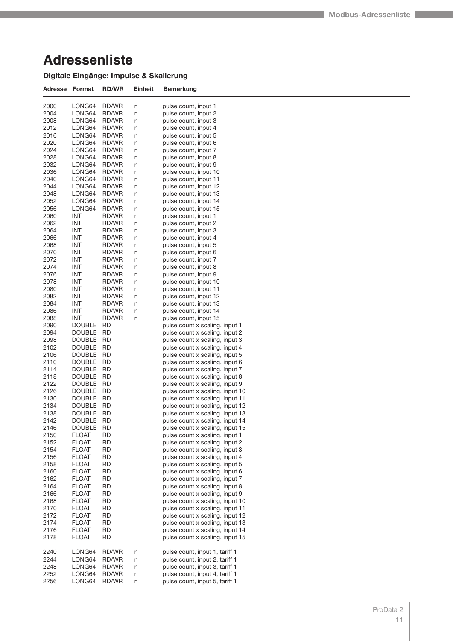## **Adressenliste**

#### **Digitale Eingänge: Impulse & Skalierung**

| Adresse      | Format                  | <b>RD/WR</b>   | Einheit | <b>Bemerkung</b>                                                   |
|--------------|-------------------------|----------------|---------|--------------------------------------------------------------------|
| 2000         | LONG64                  | RD/WR          | n       | pulse count, input 1                                               |
| 2004         | LONG64                  | RD/WR          | n       | pulse count, input 2                                               |
| 2008         | LONG64                  | RD/WR          | n       | pulse count, input 3                                               |
| 2012         | LONG64                  | RD/WR          | n       | pulse count, input 4                                               |
| 2016         | LONG64                  | RD/WR          | n       | pulse count, input 5                                               |
| 2020         | LONG64                  | RD/WR          | n       | pulse count, input 6                                               |
| 2024         | LONG64                  | RD/WR          | n       | pulse count, input 7                                               |
| 2028         | LONG64<br>LONG64        | RD/WR<br>RD/WR | n       | pulse count, input 8<br>pulse count, input 9                       |
| 2032<br>2036 | LONG64                  | RD/WR          | n<br>n  | pulse count, input 10                                              |
| 2040         | LONG64                  | RD/WR          | n       | pulse count, input 11                                              |
| 2044         | LONG64                  | RD/WR          | n       | pulse count, input 12                                              |
| 2048         | LONG64                  | RD/WR          | n       | pulse count, input 13                                              |
| 2052         | LONG64                  | RD/WR          | n       | pulse count, input 14                                              |
| 2056         | LONG64                  | RD/WR          | n       | pulse count, input 15                                              |
| 2060         | INT                     | RD/WR          | n       | pulse count, input 1                                               |
| 2062         | INT                     | RD/WR          | n       | pulse count, input 2                                               |
| 2064         | INT                     | RD/WR          | n       | pulse count, input 3                                               |
| 2066         | <b>INT</b>              | RD/WR          | n       | pulse count, input 4                                               |
| 2068         | INT                     | RD/WR          | n       | pulse count, input 5                                               |
| 2070         | INT                     | RD/WR          | n       | pulse count, input 6                                               |
| 2072         | <b>INT</b>              | RD/WR          | n       | pulse count, input 7                                               |
| 2074         | INT                     | RD/WR          | n       | pulse count, input 8                                               |
| 2076         | INT                     | RD/WR          | n       | pulse count, input 9                                               |
| 2078         | INT<br>INT              | RD/WR          | n       | pulse count, input 10<br>pulse count, input 11                     |
| 2080<br>2082 | <b>INT</b>              | RD/WR<br>RD/WR | n<br>n  | pulse count, input 12                                              |
| 2084         | INT                     | RD/WR          | n       | pulse count, input 13                                              |
| 2086         | <b>INT</b>              | RD/WR          | n       | pulse count, input 14                                              |
| 2088         | INT                     | RD/WR          | n       | pulse count, input 15                                              |
| 2090         | <b>DOUBLE</b>           | RD             |         | pulse count x scaling, input 1                                     |
| 2094         | <b>DOUBLE</b>           | <b>RD</b>      |         | pulse count x scaling, input 2                                     |
| 2098         | DOUBLE                  | RD             |         | pulse count x scaling, input 3                                     |
| 2102         | <b>DOUBLE</b>           | <b>RD</b>      |         | pulse count x scaling, input 4                                     |
| 2106         | <b>DOUBLE</b>           | RD             |         | pulse count x scaling, input 5                                     |
| 2110         | <b>DOUBLE</b>           | RD             |         | pulse count x scaling, input 6                                     |
| 2114         | <b>DOUBLE</b>           | <b>RD</b>      |         | pulse count x scaling, input 7                                     |
| 2118         | DOUBLE                  | RD             |         | pulse count x scaling, input 8                                     |
| 2122         | <b>DOUBLE</b>           | <b>RD</b>      |         | pulse count x scaling, input 9                                     |
| 2126<br>2130 | DOUBLE<br><b>DOUBLE</b> | RD<br>RD       |         | pulse count x scaling, input 10<br>pulse count x scaling, input 11 |
| 2134         | <b>DOUBLE</b>           | <b>RD</b>      |         | pulse count x scaling, input 12                                    |
| 2138         | DOUBLE                  | RD             |         | pulse count x scaling, input 13                                    |
| 2142         | <b>DOUBLE</b>           | RD             |         | pulse count x scaling, input 14                                    |
| 2146         | DOUBLE                  | RD             |         | pulse count x scaling, input 15                                    |
| 2150         | FLOAT                   | RD             |         | pulse count x scaling, input 1                                     |
| 2152         | FLOAT                   | RD             |         | pulse count x scaling, input 2                                     |
| 2154         | FLOAT                   | RD             |         | pulse count x scaling, input 3                                     |
| 2156         | <b>FLOAT</b>            | RD             |         | pulse count x scaling, input 4                                     |
| 2158         | FLOAT                   | <b>RD</b>      |         | pulse count x scaling, input 5                                     |
| 2160         | FLOAT                   | RD             |         | pulse count x scaling, input 6                                     |
| 2162         | FLOAT                   | RD             |         | pulse count x scaling, input 7                                     |
| 2164         | <b>FLOAT</b>            | <b>RD</b>      |         | pulse count x scaling, input 8                                     |
| 2166         | <b>FLOAT</b>            | RD             |         | pulse count x scaling, input 9                                     |
| 2168<br>2170 | <b>FLOAT</b><br>FLOAT   | RD<br>RD       |         | pulse count x scaling, input 10<br>pulse count x scaling, input 11 |
| 2172         | FLOAT                   | RD             |         | pulse count x scaling, input 12                                    |
| 2174         | FLOAT                   | RD             |         | pulse count x scaling, input 13                                    |
| 2176         | <b>FLOAT</b>            | RD             |         | pulse count x scaling, input 14                                    |
| 2178         | FLOAT                   | RD             |         | pulse count x scaling, input 15                                    |
| 2240         | LONG64                  | RD/WR          | n       | pulse count, input 1, tariff 1                                     |
| 2244         | LONG64                  | RD/WR          | n       | pulse count, input 2, tariff 1                                     |
| 2248         | LONG64                  | RD/WR          | n       | pulse count, input 3, tariff 1                                     |
| 2252<br>2256 | LONG64                  | RD/WR<br>RD/WR | n       | pulse count, input 4, tariff 1<br>pulse count, input 5, tariff 1   |
|              | LONG64                  |                | n       |                                                                    |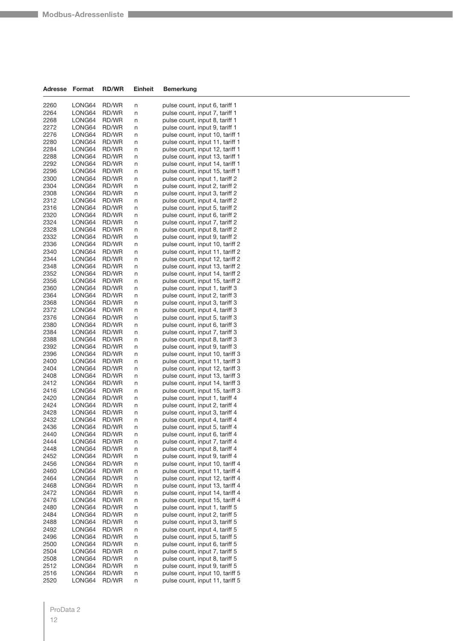| Adresse      | Format           | <b>RD/WR</b>   | <b>Einheit</b> | Bemerkung                                                        |
|--------------|------------------|----------------|----------------|------------------------------------------------------------------|
|              |                  |                |                |                                                                  |
| 2260         | LONG64           | RD/WR          | n              | pulse count, input 6, tariff 1                                   |
| 2264         | LONG64           | RD/WR          | n              | pulse count, input 7, tariff 1                                   |
| 2268<br>2272 | LONG64<br>LONG64 | RD/WR<br>RD/WR | n<br>n         | pulse count, input 8, tariff 1<br>pulse count, input 9, tariff 1 |
| 2276         | LONG64           | RD/WR          |                | pulse count, input 10, tariff 1                                  |
| 2280         | LONG64           | RD/WR          | n              | pulse count, input 11, tariff 1                                  |
| 2284         | LONG64           | RD/WR          | n<br>n         | pulse count, input 12, tariff 1                                  |
| 2288         | LONG64           | RD/WR          | n              | pulse count, input 13, tariff 1                                  |
| 2292         | LONG64           | RD/WR          | n              | pulse count, input 14, tariff 1                                  |
| 2296         | LONG64           | RD/WR          | n              | pulse count, input 15, tariff 1                                  |
| 2300         | LONG64           | RD/WR          | n              | pulse count, input 1, tariff 2                                   |
| 2304         | LONG64           | RD/WR          | n              | pulse count, input 2, tariff 2                                   |
| 2308         | LONG64           | RD/WR          | n              | pulse count, input 3, tariff 2                                   |
| 2312         | LONG64           | RD/WR          | n              | pulse count, input 4, tariff 2                                   |
| 2316         | LONG64           | RD/WR          | n              | pulse count, input 5, tariff 2                                   |
| 2320         | LONG64           | RD/WR          | n              | pulse count, input 6, tariff 2                                   |
| 2324         | LONG64           | RD/WR          | n              | pulse count, input 7, tariff 2                                   |
| 2328         | LONG64           | RD/WR          | n              | pulse count, input 8, tariff 2                                   |
| 2332         | LONG64           | RD/WR          | n              | pulse count, input 9, tariff 2                                   |
| 2336         | LONG64           | RD/WR          | n              | pulse count, input 10, tariff 2                                  |
| 2340         | LONG64           | RD/WR          | n              | pulse count, input 11, tariff 2                                  |
| 2344         | LONG64           | RD/WR          | n              | pulse count, input 12, tariff 2                                  |
| 2348         | LONG64           | RD/WR          | n              | pulse count, input 13, tariff 2                                  |
| 2352         | LONG64           | RD/WR          | n              | pulse count, input 14, tariff 2                                  |
| 2356         | LONG64           | RD/WR          | n              | pulse count, input 15, tariff 2                                  |
| 2360         | LONG64           | RD/WR          | n              | pulse count, input 1, tariff 3                                   |
| 2364         | LONG64           | RD/WR          | n              | pulse count, input 2, tariff 3                                   |
| 2368         | LONG64           | RD/WR          | n              | pulse count, input 3, tariff 3                                   |
| 2372         | LONG64           | RD/WR          | n              | pulse count, input 4, tariff 3                                   |
| 2376         | LONG64           | RD/WR          | n              | pulse count, input 5, tariff 3                                   |
| 2380         | LONG64           | RD/WR          | n              | pulse count, input 6, tariff 3                                   |
| 2384         | LONG64           | RD/WR          | n              | pulse count, input 7, tariff 3                                   |
| 2388         | LONG64           | RD/WR          | n              | pulse count, input 8, tariff 3                                   |
| 2392         | LONG64           | RD/WR          | n              | pulse count, input 9, tariff 3                                   |
| 2396         | LONG64           | RD/WR          | n              | pulse count, input 10, tariff 3                                  |
| 2400         | LONG64           | RD/WR          | n              | pulse count, input 11, tariff 3                                  |
| 2404         | LONG64           | RD/WR          | n              | pulse count, input 12, tariff 3                                  |
| 2408         | LONG64           | RD/WR          | n              | pulse count, input 13, tariff 3                                  |
| 2412         | LONG64           | RD/WR          | n              | pulse count, input 14, tariff 3                                  |
| 2416         | LONG64           | RD/WR          | n              | pulse count, input 15, tariff 3                                  |
| 2420         | LONG64           | RD/WR          | n              | pulse count, input 1, tariff 4                                   |
| 2424         | LONG64           | RD/WR          | n              | pulse count, input 2, tariff 4                                   |
| 2428         | LONG64           | RD/WR          | n              | pulse count, input 3, tariff 4                                   |
| 2432         | LONG64           | RD/WR          | n              | pulse count, input 4, tariff 4                                   |
| 2436         | <b>I ONG64</b>   | RD/WR          | n              | pulse count, input 5, tariff 4                                   |
| 2440         | LONG64           | RD/WR          | n              | pulse count, input 6, tariff 4                                   |
| 2444         | LONG64           | RD/WR          | n              | pulse count, input 7, tariff 4                                   |
| 2448         | LONG64           | RD/WR          | n              | pulse count, input 8, tariff 4                                   |
| 2452         | LONG64           | RD/WR          | n              | pulse count, input 9, tariff 4                                   |
| 2456         | LONG64           | RD/WR          | n              | pulse count, input 10, tariff 4                                  |
| 2460         | LONG64           | RD/WR          | n              | pulse count, input 11, tariff 4                                  |
| 2464         | LONG64           | RD/WR          | n              | pulse count, input 12, tariff 4                                  |
| 2468         | LONG64           | RD/WR          | n              | pulse count, input 13, tariff 4                                  |
| 2472         | LONG64           | RD/WR          | n              | pulse count, input 14, tariff 4                                  |
| 2476         | LONG64           | RD/WR          | n              | pulse count, input 15, tariff 4                                  |
| 2480         | LONG64           | RD/WR          | n              | pulse count, input 1, tariff 5                                   |
| 2484         | LONG64           | RD/WR          | n              | pulse count, input 2, tariff 5                                   |
| 2488         | LONG64           | RD/WR          | n              | pulse count, input 3, tariff 5                                   |
| 2492         | LONG64           | RD/WR          | n              | pulse count, input 4, tariff 5                                   |
| 2496         | LONG64           | RD/WR          | n              | pulse count, input 5, tariff 5                                   |
| 2500         | LONG64           | RD/WR          | n              | pulse count, input 6, tariff 5                                   |
| 2504         | LONG64           | RD/WR          | n              | pulse count, input 7, tariff 5                                   |
| 2508         | LONG64           | RD/WR          | n              | pulse count, input 8, tariff 5                                   |
| 2512         | LONG64           | RD/WR          | n              | pulse count, input 9, tariff 5                                   |
| 2516         | LONG64           | RD/WR          | n              | pulse count, input 10, tariff 5                                  |
| 2520         | LONG64           | RD/WR          | n              | pulse count, input 11, tariff 5                                  |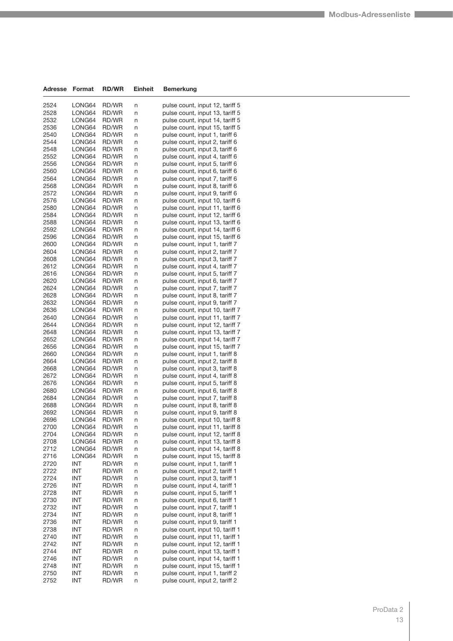| Adresse      | Format           | <b>RD/WR</b>   | Einheit | Bemerkung                                                        |
|--------------|------------------|----------------|---------|------------------------------------------------------------------|
| 2524         | LONG64           | RD/WR          | n       | pulse count, input 12, tariff 5                                  |
| 2528         | LONG64           | RD/WR          | n       | pulse count, input 13, tariff 5                                  |
| 2532         | LONG64           | RD/WR          | n       | pulse count, input 14, tariff 5                                  |
| 2536         | LONG64           | RD/WR          | n       | pulse count, input 15, tariff 5                                  |
| 2540         | LONG64           | RD/WR          | n       | pulse count, input 1, tariff 6                                   |
| 2544         | LONG64           | RD/WR          | n       | pulse count, input 2, tariff 6                                   |
| 2548         | LONG64           | RD/WR          | n       | pulse count, input 3, tariff 6                                   |
| 2552         | LONG64           | RD/WR          | n       | pulse count, input 4, tariff 6                                   |
| 2556         | LONG64           | RD/WR          | n       | pulse count, input 5, tariff 6                                   |
| 2560         | LONG64           | RD/WR          | n       | pulse count, input 6, tariff 6                                   |
| 2564         | LONG64           | RD/WR          | n       | pulse count, input 7, tariff 6                                   |
| 2568         | LONG64           | RD/WR          | n       | pulse count, input 8, tariff 6                                   |
| 2572         | LONG64           | <b>RD/WR</b>   | n       | pulse count, input 9, tariff 6                                   |
| 2576         | LONG64           | RD/WR          | n       | pulse count, input 10, tariff 6                                  |
| 2580         | LONG64           | RD/WR          | n       | pulse count, input 11, tariff 6                                  |
| 2584         | LONG64           | RD/WR          | n       | pulse count, input 12, tariff 6                                  |
| 2588         | LONG64           | RD/WR          | n       | pulse count, input 13, tariff 6                                  |
| 2592         | LONG64           | RD/WR          | n       | pulse count, input 14, tariff 6                                  |
| 2596         | LONG64           | RD/WR          | n       | pulse count, input 15, tariff 6                                  |
| 2600         | LONG64           | RD/WR          | n       | pulse count, input 1, tariff 7                                   |
| 2604         | LONG64           | RD/WR          | n       | pulse count, input 2, tariff 7                                   |
| 2608         | LONG64           | RD/WR          | n       | pulse count, input 3, tariff 7                                   |
| 2612         | LONG64           | RD/WR          | n       | pulse count, input 4, tariff 7                                   |
| 2616         | LONG64           | RD/WR          | n       | pulse count, input 5, tariff 7                                   |
| 2620         | LONG64           | RD/WR          | n       | pulse count, input 6, tariff 7                                   |
| 2624         | LONG64           | RD/WR          | n       | pulse count, input 7, tariff 7                                   |
| 2628         | LONG64           | RD/WR          | n       | pulse count, input 8, tariff 7                                   |
| 2632         | LONG64           | RD/WR          | n       | pulse count, input 9, tariff 7                                   |
| 2636         | LONG64           | RD/WR          | n       | pulse count, input 10, tariff 7                                  |
| 2640         | LONG64           | RD/WR          | n       | pulse count, input 11, tariff 7                                  |
| 2644         | LONG64           | RD/WR          | n       | pulse count, input 12, tariff 7                                  |
| 2648         | LONG64           | RD/WR          | n       | pulse count, input 13, tariff 7                                  |
| 2652         | LONG64           | RD/WR          | n       | pulse count, input 14, tariff 7                                  |
| 2656         | LONG64           | RD/WR          | n       | pulse count, input 15, tariff 7                                  |
| 2660         | LONG64           | RD/WR          | n       | pulse count, input 1, tariff 8                                   |
| 2664         | LONG64           | RD/WR          | n       | pulse count, input 2, tariff 8                                   |
| 2668         | LONG64           | RD/WR          | n       | pulse count, input 3, tariff 8                                   |
| 2672         | LONG64           | RD/WR          | n       | pulse count, input 4, tariff 8                                   |
| 2676         | LONG64           | <b>RD/WR</b>   | n       | pulse count, input 5, tariff 8                                   |
| 2680         | LONG64           | RD/WR          | n       | pulse count, input 6, tariff 8                                   |
| 2684<br>2688 | LONG64<br>LONG64 | RD/WR<br>RD/WR | n       | pulse count, input 7, tariff 8<br>pulse count, input 8, tariff 8 |
| 2692         | LONG64           | RD/WR          | n<br>n  | pulse count, input 9, tariff 8                                   |
| 2696         | LONG64           | <b>RD/WR</b>   | n       | pulse count, input 10, tariff 8                                  |
| 2700         | LONG64           | RD/WR          | n       | pulse count, input 11, tariff 8                                  |
| 2704         | LONG64           | RD/WR          | n       | pulse count, input 12, tariff 8                                  |
| 2708         | LONG64           | RD/WR          | n       | pulse count, input 13, tariff 8                                  |
| 2712         | LONG64           | RD/WR          | n       | pulse count, input 14, tariff 8                                  |
| 2716         | LONG64           | RD/WR          | n       | pulse count, input 15, tariff 8                                  |
| 2720         | INT              | RD/WR          | n       | pulse count, input 1, tariff 1                                   |
| 2722         | INT              | RD/WR          | n       | pulse count, input 2, tariff 1                                   |
| 2724         | <b>INT</b>       | RD/WR          | n       | pulse count, input 3, tariff 1                                   |
| 2726         | INT              | RD/WR          | n       | pulse count, input 4, tariff 1                                   |
| 2728         | <b>INT</b>       | RD/WR          | n       | pulse count, input 5, tariff 1                                   |
| 2730         | INT              | RD/WR          | n       | pulse count, input 6, tariff 1                                   |
| 2732         | INT              | RD/WR          | n       | pulse count, input 7, tariff 1                                   |
| 2734         | INT              | RD/WR          | n       | pulse count, input 8, tariff 1                                   |
| 2736         | INT              | RD/WR          | n       | pulse count, input 9, tariff 1                                   |
| 2738         | INT              | RD/WR          | n       | pulse count, input 10, tariff 1                                  |
| 2740         | INT              | RD/WR          | n       | pulse count, input 11, tariff 1                                  |
| 2742         | INT              | RD/WR          | n       | pulse count, input 12, tariff 1                                  |
| 2744         | INT              | RD/WR          | n       | pulse count, input 13, tariff 1                                  |
| 2746         | INT              | RD/WR          | n       | pulse count, input 14, tariff 1                                  |
| 2748         | INT              | RD/WR          | n       | pulse count, input 15, tariff 1                                  |
| 2750         | INT              | RD/WR          | n       | pulse count, input 1, tariff 2                                   |
| 2752         | INT              | RD/WR          | n       | pulse count, input 2, tariff 2                                   |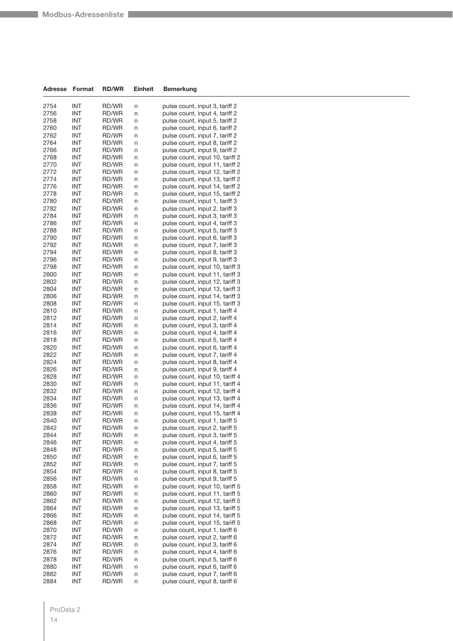| Adresse      | Format            | <b>RD/WR</b>   | Einheit | Bemerkung                                                          |
|--------------|-------------------|----------------|---------|--------------------------------------------------------------------|
|              |                   |                |         |                                                                    |
| 2754         | INT               | RD/WR          | n       | pulse count, input 3, tariff 2                                     |
| 2756         | INT               | RD/WR          | n       | pulse count, input 4, tariff 2                                     |
| 2758         | INT               | RD/WR          | n       | pulse count, input 5, tariff 2                                     |
| 2760         | <b>INT</b>        | RD/WR          | n       | pulse count, input 6, tariff 2                                     |
| 2762         | INT               | RD/WR          | n       | pulse count, input 7, tariff 2                                     |
| 2764         | INT               | <b>RD/WR</b>   | n       | pulse count, input 8, tariff 2                                     |
| 2766         | INT               | RD/WR          | n       | pulse count, input 9, tariff 2                                     |
| 2768<br>2770 | INT<br>INT        | RD/WR          | n       | pulse count, input 10, tariff 2<br>pulse count, input 11, tariff 2 |
| 2772         | INT               | RD/WR<br>RD/WR | n       | pulse count, input 12, tariff 2                                    |
| 2774         | <b>INT</b>        | RD/WR          | n       | pulse count, input 13, tariff 2                                    |
| 2776         | INT               | RD/WR          | n<br>n  | pulse count, input 14, tariff 2                                    |
| 2778         | INT               | RD/WR          | n       | pulse count, input 15, tariff 2                                    |
| 2780         | INT               | RD/WR          | n       | pulse count, input 1, tariff 3                                     |
| 2782         | INT               | RD/WR          | n       | pulse count, input 2, tariff 3                                     |
| 2784         | INT               | RD/WR          | n       | pulse count, input 3, tariff 3                                     |
| 2786         | <b>INT</b>        | RD/WR          | n       | pulse count, input 4, tariff 3                                     |
| 2788         | INT               | RD/WR          | n       | pulse count, input 5, tariff 3                                     |
| 2790         | INT               | RD/WR          | n       | pulse count, input 6, tariff 3                                     |
| 2792         | INT               | RD/WR          | n       | pulse count, input 7, tariff 3                                     |
| 2794         | INT               | RD/WR          | n       | pulse count, input 8, tariff 3                                     |
| 2796         | <b>INT</b>        | RD/WR          | n       | pulse count, input 9, tariff 3                                     |
| 2798         | INT               | RD/WR          | n       | pulse count, input 10, tariff 3                                    |
| 2800         | INT               | RD/WR          | n       | pulse count, input 11, tariff 3                                    |
| 2802         | INT               | RD/WR          | n       | pulse count, input 12, tariff 3                                    |
| 2804         | INT               | RD/WR          | n       | pulse count, input 13, tariff 3                                    |
| 2806         | <b>INT</b>        | RD/WR          | n       | pulse count, input 14, tariff 3                                    |
| 2808         | INT               | RD/WR          | n       | pulse count, input 15, tariff 3                                    |
| 2810         | INT               | RD/WR          | n       | pulse count, input 1, tariff 4                                     |
| 2812         | INT               | RD/WR          | n       | pulse count, input 2, tariff 4                                     |
| 2814         | INT               | RD/WR          | n       | pulse count, input 3, tariff 4                                     |
| 2816         | <b>INT</b>        | RD/WR          | n       | pulse count, input 4, tariff 4                                     |
| 2818         | INT               | RD/WR          | n       | pulse count, input 5, tariff 4                                     |
| 2820         | INT               | RD/WR          | n       | pulse count, input 6, tariff 4                                     |
| 2822         | <b>INT</b>        | RD/WR          | n       | pulse count, input 7, tariff 4                                     |
| 2824         | INT               | RD/WR          | n       | pulse count, input 8, tariff 4                                     |
| 2826         | INT               | RD/WR          | n       | pulse count, input 9, tariff 4                                     |
| 2828         | INT<br><b>INT</b> | RD/WR          | n       | pulse count, input 10, tariff 4                                    |
| 2830<br>2832 | INT               | RD/WR<br>RD/WR | n       | pulse count, input 11, tariff 4<br>pulse count, input 12, tariff 4 |
| 2834         | INT               | RD/WR          | n       | pulse count, input 13, tariff 4                                    |
| 2836         | INT               | RD/WR          | n<br>n  | pulse count, input 14, tariff 4                                    |
| 2838         | INT               | RD/WR          | n       | pulse count, input 15, tariff 4                                    |
| 2840         | <b>INT</b>        | RD/WR          | n       | pulse count, input 1, tariff 5                                     |
| 2842         | INT               | RD/WR          | n       | pulse count, input 2, tariff 5                                     |
| 2844         | INT               | RD/WR          | n       | pulse count, input 3, tariff 5                                     |
| 2846         | INT               | RD/WR          | n       | pulse count, input 4, tariff 5                                     |
| 2848         | INT               | RD/WR          | n       | pulse count, input 5, tariff 5                                     |
| 2850         | INT               | RD/WR          | n       | pulse count, input 6, tariff 5                                     |
| 2852         | INT               | RD/WR          | n       | pulse count, input 7, tariff 5                                     |
| 2854         | <b>INT</b>        | RD/WR          | n       | pulse count, input 8, tariff 5                                     |
| 2856         | INT               | RD/WR          | n       | pulse count, input 9, tariff 5                                     |
| 2858         | INT               | RD/WR          | n       | pulse count, input 10, tariff 5                                    |
| 2860         | INT               | RD/WR          | n       | pulse count, input 11, tariff 5                                    |
| 2862         | INT               | RD/WR          | n       | pulse count, input 12, tariff 5                                    |
| 2864         | <b>INT</b>        | RD/WR          | n       | pulse count, input 13, tariff 5                                    |
| 2866         | INT               | RD/WR          | n       | pulse count, input 14, tariff 5                                    |
| 2868         | INT               | RD/WR          | n       | pulse count, input 15, tariff 5                                    |
| 2870         | INT               | RD/WR          | n       | pulse count, input 1, tariff 6                                     |
| 2872         | INT               | RD/WR          | n       | pulse count, input 2, tariff 6                                     |
| 2874         | <b>INT</b>        | RD/WR          | n       | pulse count, input 3, tariff 6                                     |
| 2876         | INT               | RD/WR          | n       | pulse count, input 4, tariff 6                                     |
| 2878         | INT               | RD/WR          | n       | pulse count, input 5, tariff 6                                     |
| 2880         | INT               | RD/WR          | n       | pulse count, input 6, tariff 6                                     |
| 2882         | INT               | RD/WR          | n       | pulse count, input 7, tariff 6                                     |
| 2884         | <b>INT</b>        | RD/WR          | n       | pulse count, input 8, tariff 6                                     |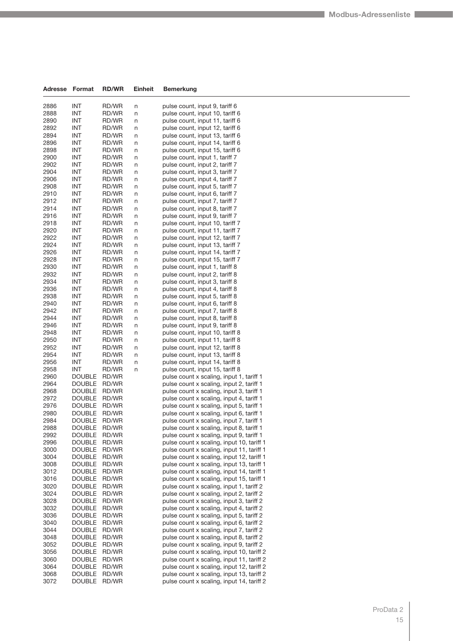| Adresse      | Format                         | <b>RD/WR</b>   | <b>Einheit</b> | <b>Bemerkung</b>                                                                       |
|--------------|--------------------------------|----------------|----------------|----------------------------------------------------------------------------------------|
| 2886         | <b>INT</b>                     | RD/WR          | n              | pulse count, input 9, tariff 6                                                         |
| 2888         | INT                            | RD/WR          | n              | pulse count, input 10, tariff 6                                                        |
| 2890         | INT                            | RD/WR          | n              | pulse count, input 11, tariff 6                                                        |
| 2892         | INT                            | RD/WR          | n              | pulse count, input 12, tariff 6                                                        |
| 2894         | INT                            | RD/WR          | n              | pulse count, input 13, tariff 6                                                        |
| 2896         | INT                            | RD/WR          | n              | pulse count, input 14, tariff 6                                                        |
| 2898         | INT                            | RD/WR          | n              | pulse count, input 15, tariff 6                                                        |
| 2900         | INT                            | RD/WR          | n              | pulse count, input 1, tariff 7                                                         |
| 2902         | INT                            | RD/WR          | n              | pulse count, input 2, tariff 7                                                         |
| 2904         | INT                            | RD/WR          | n              | pulse count, input 3, tariff 7                                                         |
| 2906         | INT                            | RD/WR          | n              | pulse count, input 4, tariff 7                                                         |
| 2908         | INT                            | RD/WR          | n              | pulse count, input 5, tariff 7                                                         |
| 2910         | INT                            | RD/WR          | n              | pulse count, input 6, tariff 7                                                         |
| 2912         | INT                            | RD/WR          | n              | pulse count, input 7, tariff 7                                                         |
| 2914         | INT                            | RD/WR          | n              | pulse count, input 8, tariff 7                                                         |
| 2916<br>2918 | INT<br>INT                     | RD/WR<br>RD/WR | n              | pulse count, input 9, tariff 7                                                         |
| 2920         | INT                            | RD/WR          | n<br>n         | pulse count, input 10, tariff 7<br>pulse count, input 11, tariff 7                     |
| 2922         | INT                            | RD/WR          | n              | pulse count, input 12, tariff 7                                                        |
| 2924         | INT                            | RD/WR          | n              | pulse count, input 13, tariff 7                                                        |
| 2926         | INT                            | RD/WR          | n              | pulse count, input 14, tariff 7                                                        |
| 2928         | INT                            | RD/WR          | n              | pulse count, input 15, tariff 7                                                        |
| 2930         | INT                            | RD/WR          | n              | pulse count, input 1, tariff 8                                                         |
| 2932         | INT                            | RD/WR          | n              | pulse count, input 2, tariff 8                                                         |
| 2934         | INT                            | RD/WR          | n              | pulse count, input 3, tariff 8                                                         |
| 2936         | INT                            | RD/WR          | n              | pulse count, input 4, tariff 8                                                         |
| 2938         | INT                            | RD/WR          | n              | pulse count, input 5, tariff 8                                                         |
| 2940         | INT                            | RD/WR          | n              | pulse count, input 6, tariff 8                                                         |
| 2942         | INT                            | RD/WR          | n              | pulse count, input 7, tariff 8                                                         |
| 2944         | INT                            | RD/WR          | n              | pulse count, input 8, tariff 8                                                         |
| 2946         | INT                            | RD/WR          | n              | pulse count, input 9, tariff 8                                                         |
| 2948         | INT                            | RD/WR          | n              | pulse count, input 10, tariff 8                                                        |
| 2950         | INT                            | RD/WR          | n              | pulse count, input 11, tariff 8                                                        |
| 2952<br>2954 | INT<br><b>INT</b>              | RD/WR          | n              | pulse count, input 12, tariff 8<br>pulse count, input 13, tariff 8                     |
| 2956         | INT                            | RD/WR<br>RD/WR | n<br>n         | pulse count, input 14, tariff 8                                                        |
| 2958         | <b>INT</b>                     | RD/WR          | n              | pulse count, input 15, tariff 8                                                        |
| 2960         | <b>DOUBLE</b>                  | RD/WR          |                | pulse count x scaling, input 1, tariff 1                                               |
| 2964         | <b>DOUBLE</b>                  | RD/WR          |                | pulse count x scaling, input 2, tariff 1                                               |
| 2968         | <b>DOUBLE</b>                  | RD/WR          |                | pulse count x scaling, input 3, tariff 1                                               |
| 2972         | <b>DOUBLE</b>                  | RD/WR          |                | pulse count x scaling, input 4, tariff 1                                               |
| 2976         | <b>DOUBLE</b>                  | RD/WR          |                | pulse count x scaling, input 5, tariff 1                                               |
| 2980         | <b>DOUBLE</b>                  | RD/WR          |                | pulse count x scaling, input 6, tariff 1                                               |
| 2984         | <b>DOUBLE</b>                  | RD/WR          |                | pulse count x scaling, input 7, tariff 1                                               |
| 2988         | <b>DOUBLE</b>                  | RD/WR          |                | pulse count x scaling, input 8, tariff 1                                               |
| 2992         | DOUBLE                         | RD/WR          |                | pulse count x scaling, input 9, tariff 1                                               |
| 2996         | <b>DOUBLE</b>                  | RD/WR          |                | pulse count x scaling, input 10, tariff 1                                              |
| 3000         | <b>DOUBLE</b>                  | RD/WR          |                | pulse count x scaling, input 11, tariff 1                                              |
| 3004         | <b>DOUBLE</b>                  | RD/WR          |                | pulse count x scaling, input 12, tariff 1                                              |
| 3008         | <b>DOUBLE</b>                  | RD/WR          |                | pulse count x scaling, input 13, tariff 1<br>pulse count x scaling, input 14, tariff 1 |
| 3012<br>3016 | <b>DOUBLE</b><br><b>DOUBLE</b> | RD/WR<br>RD/WR |                | pulse count x scaling, input 15, tariff 1                                              |
| 3020         | <b>DOUBLE</b>                  | RD/WR          |                | pulse count x scaling, input 1, tariff 2                                               |
| 3024         | <b>DOUBLE</b>                  | RD/WR          |                | pulse count x scaling, input 2, tariff 2                                               |
| 3028         | <b>DOUBLE</b>                  | RD/WR          |                | pulse count x scaling, input 3, tariff 2                                               |
| 3032         | <b>DOUBLE</b>                  | RD/WR          |                | pulse count x scaling, input 4, tariff 2                                               |
| 3036         | <b>DOUBLE</b>                  | RD/WR          |                | pulse count x scaling, input 5, tariff 2                                               |
| 3040         | <b>DOUBLE</b>                  | RD/WR          |                | pulse count x scaling, input 6, tariff 2                                               |
| 3044         | <b>DOUBLE</b>                  | RD/WR          |                | pulse count x scaling, input 7, tariff 2                                               |
| 3048         | <b>DOUBLE</b>                  | RD/WR          |                | pulse count x scaling, input 8, tariff 2                                               |
| 3052         | <b>DOUBLE</b>                  | RD/WR          |                | pulse count x scaling, input 9, tariff 2                                               |
| 3056         | <b>DOUBLE</b>                  | RD/WR          |                | pulse count x scaling, input 10, tariff 2                                              |
| 3060         | <b>DOUBLE</b>                  | RD/WR          |                | pulse count x scaling, input 11, tariff 2                                              |
| 3064         | <b>DOUBLE</b>                  | RD/WR          |                | pulse count x scaling, input 12, tariff 2                                              |
| 3068         | <b>DOUBLE</b>                  | RD/WR          |                | pulse count x scaling, input 13, tariff 2                                              |
| 3072         | <b>DOUBLE</b>                  | RD/WR          |                | pulse count x scaling, input 14, tariff 2                                              |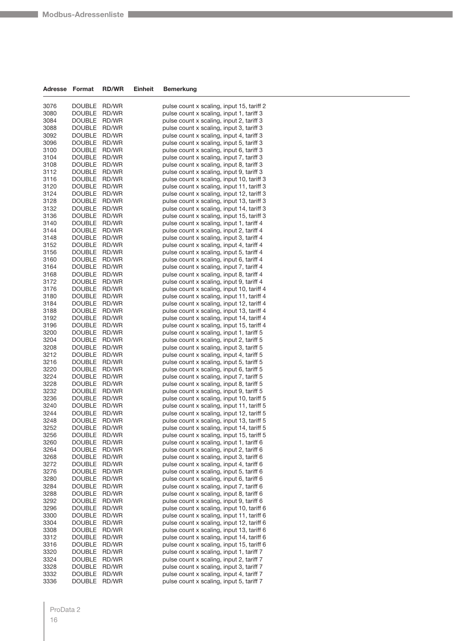| <b>Adresse</b> | Format                         | <b>RD/WR</b>   | Einheit | <b>Bemerkung</b>                                                                       |
|----------------|--------------------------------|----------------|---------|----------------------------------------------------------------------------------------|
| 3076           | <b>DOUBLE</b>                  | RD/WR          |         | pulse count x scaling, input 15, tariff 2                                              |
| 3080           | <b>DOUBLE</b>                  | RD/WR          |         | pulse count x scaling, input 1, tariff 3                                               |
| 3084           | <b>DOUBLE</b>                  | RD/WR          |         | pulse count x scaling, input 2, tariff 3                                               |
| 3088           | <b>DOUBLE</b>                  | RD/WR          |         | pulse count x scaling, input 3, tariff 3                                               |
| 3092           | <b>DOUBLE</b>                  | RD/WR          |         | pulse count x scaling, input 4, tariff 3                                               |
| 3096           | <b>DOUBLE</b>                  | RD/WR          |         | pulse count x scaling, input 5, tariff 3                                               |
| 3100           | <b>DOUBLE</b>                  | RD/WR          |         | pulse count x scaling, input 6, tariff 3                                               |
| 3104           | <b>DOUBLE</b>                  | RD/WR          |         | pulse count x scaling, input 7, tariff 3                                               |
| 3108           | <b>DOUBLE</b>                  | RD/WR          |         | pulse count x scaling, input 8, tariff 3                                               |
| 3112           | <b>DOUBLE</b>                  | RD/WR          |         | pulse count x scaling, input 9, tariff 3                                               |
| 3116           | <b>DOUBLE</b>                  | RD/WR          |         | pulse count x scaling, input 10, tariff 3                                              |
| 3120<br>3124   | <b>DOUBLE</b><br><b>DOUBLE</b> | RD/WR<br>RD/WR |         | pulse count x scaling, input 11, tariff 3                                              |
| 3128           | <b>DOUBLE</b>                  | RD/WR          |         | pulse count x scaling, input 12, tariff 3<br>pulse count x scaling, input 13, tariff 3 |
| 3132           | <b>DOUBLE</b>                  | RD/WR          |         | pulse count x scaling, input 14, tariff 3                                              |
| 3136           | <b>DOUBLE</b>                  | RD/WR          |         | pulse count x scaling, input 15, tariff 3                                              |
| 3140           | <b>DOUBLE</b>                  | RD/WR          |         | pulse count x scaling, input 1, tariff 4                                               |
| 3144           | <b>DOUBLE</b>                  | RD/WR          |         | pulse count x scaling, input 2, tariff 4                                               |
| 3148           | <b>DOUBLE</b>                  | RD/WR          |         | pulse count x scaling, input 3, tariff 4                                               |
| 3152           | <b>DOUBLE</b>                  | RD/WR          |         | pulse count x scaling, input 4, tariff 4                                               |
| 3156           | <b>DOUBLE</b>                  | RD/WR          |         | pulse count x scaling, input 5, tariff 4                                               |
| 3160           | <b>DOUBLE</b>                  | RD/WR          |         | pulse count x scaling, input 6, tariff 4                                               |
| 3164           | <b>DOUBLE</b>                  | RD/WR          |         | pulse count x scaling, input 7, tariff 4                                               |
| 3168           | <b>DOUBLE</b>                  | RD/WR          |         | pulse count x scaling, input 8, tariff 4                                               |
| 3172           | <b>DOUBLE</b>                  | RD/WR          |         | pulse count x scaling, input 9, tariff 4                                               |
| 3176           | <b>DOUBLE</b><br><b>DOUBLE</b> | RD/WR          |         | pulse count x scaling, input 10, tariff 4                                              |
| 3180<br>3184   | <b>DOUBLE</b>                  | RD/WR<br>RD/WR |         | pulse count x scaling, input 11, tariff 4<br>pulse count x scaling, input 12, tariff 4 |
| 3188           | <b>DOUBLE</b>                  | RD/WR          |         | pulse count x scaling, input 13, tariff 4                                              |
| 3192           | <b>DOUBLE</b>                  | RD/WR          |         | pulse count x scaling, input 14, tariff 4                                              |
| 3196           | <b>DOUBLE</b>                  | RD/WR          |         | pulse count x scaling, input 15, tariff 4                                              |
| 3200           | <b>DOUBLE</b>                  | RD/WR          |         | pulse count x scaling, input 1, tariff 5                                               |
| 3204           | <b>DOUBLE</b>                  | RD/WR          |         | pulse count x scaling, input 2, tariff 5                                               |
| 3208           | <b>DOUBLE</b>                  | RD/WR          |         | pulse count x scaling, input 3, tariff 5                                               |
| 3212           | <b>DOUBLE</b>                  | RD/WR          |         | pulse count x scaling, input 4, tariff 5                                               |
| 3216           | <b>DOUBLE</b>                  | RD/WR          |         | pulse count x scaling, input 5, tariff 5                                               |
| 3220           | <b>DOUBLE</b>                  | RD/WR          |         | pulse count x scaling, input 6, tariff 5                                               |
| 3224           | <b>DOUBLE</b>                  | RD/WR          |         | pulse count x scaling, input 7, tariff 5                                               |
| 3228           | <b>DOUBLE</b>                  | RD/WR          |         | pulse count x scaling, input 8, tariff 5                                               |
| 3232<br>3236   | <b>DOUBLE</b><br><b>DOUBLE</b> | RD/WR<br>RD/WR |         | pulse count x scaling, input 9, tariff 5<br>pulse count x scaling, input 10, tariff 5  |
| 3240           | <b>DOUBLE</b>                  | RD/WR          |         | pulse count x scaling, input 11, tariff 5                                              |
| 3244           | <b>DOUBLE</b>                  | RD/WR          |         | pulse count x scaling, input 12, tariff 5                                              |
| 3248           | <b>DOUBLE</b>                  | RD/WR          |         | pulse count x scaling, input 13, tariff 5                                              |
| 3252           | <b>DOUBLE</b>                  | RD/WR          |         | pulse count x scaling, input 14, tariff 5                                              |
| 3256           | <b>DOUBLE</b>                  | RD/WR          |         | pulse count x scaling, input 15, tariff 5                                              |
| 3260           | <b>DOUBLE</b>                  | RD/WR          |         | pulse count x scaling, input 1, tariff 6                                               |
| 3264           | <b>DOUBLE</b>                  | RD/WR          |         | pulse count x scaling, input 2, tariff 6                                               |
| 3268           | <b>DOUBLE</b>                  | RD/WR          |         | pulse count x scaling, input 3, tariff 6                                               |
| 3272           | <b>DOUBLE</b>                  | RD/WR          |         | pulse count x scaling, input 4, tariff 6                                               |
| 3276           | <b>DOUBLE</b>                  | RD/WR          |         | pulse count x scaling, input 5, tariff 6                                               |
| 3280           | <b>DOUBLE</b>                  | RD/WR          |         | pulse count x scaling, input 6, tariff 6                                               |
| 3284<br>3288   | <b>DOUBLE</b><br><b>DOUBLE</b> | RD/WR<br>RD/WR |         | pulse count x scaling, input 7, tariff 6<br>pulse count x scaling, input 8, tariff 6   |
| 3292           | <b>DOUBLE</b>                  | RD/WR          |         | pulse count x scaling, input 9, tariff 6                                               |
| 3296           | <b>DOUBLE</b>                  | RD/WR          |         | pulse count x scaling, input 10, tariff 6                                              |
| 3300           | <b>DOUBLE</b>                  | RD/WR          |         | pulse count x scaling, input 11, tariff 6                                              |
| 3304           | <b>DOUBLE</b>                  | RD/WR          |         | pulse count x scaling, input 12, tariff 6                                              |
| 3308           | <b>DOUBLE</b>                  | RD/WR          |         | pulse count x scaling, input 13, tariff 6                                              |
| 3312           | <b>DOUBLE</b>                  | RD/WR          |         | pulse count x scaling, input 14, tariff 6                                              |
| 3316           | <b>DOUBLE</b>                  | RD/WR          |         | pulse count x scaling, input 15, tariff 6                                              |
| 3320           | <b>DOUBLE</b>                  | RD/WR          |         | pulse count x scaling, input 1, tariff 7                                               |
| 3324           | <b>DOUBLE</b>                  | RD/WR          |         | pulse count x scaling, input 2, tariff 7                                               |
| 3328           | <b>DOUBLE</b>                  | RD/WR          |         | pulse count x scaling, input 3, tariff 7                                               |
| 3332           | <b>DOUBLE</b>                  | RD/WR          |         | pulse count x scaling, input 4, tariff 7                                               |
| 3336           | <b>DOUBLE</b>                  | RD/WR          |         | pulse count x scaling, input 5, tariff 7                                               |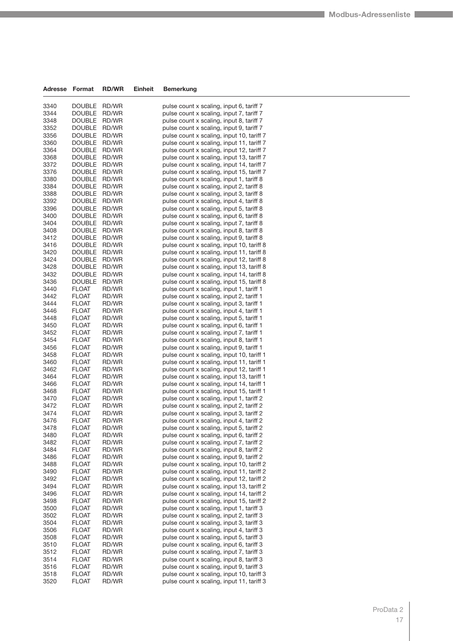| 3340         | <b>DOUBLE</b>                  | RD/WR          | pulse count x scaling, input 6, tariff 7                                               |  |
|--------------|--------------------------------|----------------|----------------------------------------------------------------------------------------|--|
| 3344         | <b>DOUBLE</b>                  | RD/WR          | pulse count x scaling, input 7, tariff 7                                               |  |
| 3348         | <b>DOUBLE</b>                  | RD/WR          | pulse count x scaling, input 8, tariff 7                                               |  |
| 3352         | <b>DOUBLE</b>                  | RD/WR          | pulse count x scaling, input 9, tariff 7                                               |  |
| 3356         | <b>DOUBLE</b>                  | RD/WR          | pulse count x scaling, input 10, tariff 7                                              |  |
| 3360         | <b>DOUBLE</b>                  | RD/WR          | pulse count x scaling, input 11, tariff 7                                              |  |
| 3364         | <b>DOUBLE</b>                  | RD/WR          | pulse count x scaling, input 12, tariff 7                                              |  |
| 3368         | <b>DOUBLE</b>                  | RD/WR          | pulse count x scaling, input 13, tariff 7                                              |  |
| 3372         | <b>DOUBLE</b>                  | RD/WR          | pulse count x scaling, input 14, tariff 7                                              |  |
| 3376         | <b>DOUBLE</b>                  | RD/WR          | pulse count x scaling, input 15, tariff 7                                              |  |
| 3380         | <b>DOUBLE</b>                  | RD/WR          | pulse count x scaling, input 1, tariff 8                                               |  |
| 3384         | <b>DOUBLE</b>                  | RD/WR          | pulse count x scaling, input 2, tariff 8                                               |  |
| 3388         | <b>DOUBLE</b>                  | RD/WR          | pulse count x scaling, input 3, tariff 8                                               |  |
| 3392         | <b>DOUBLE</b>                  | RD/WR          | pulse count x scaling, input 4, tariff 8                                               |  |
| 3396         | <b>DOUBLE</b>                  | RD/WR          | pulse count x scaling, input 5, tariff 8                                               |  |
| 3400         | <b>DOUBLE</b>                  | RD/WR          | pulse count x scaling, input 6, tariff 8                                               |  |
| 3404         | <b>DOUBLE</b>                  | RD/WR          | pulse count x scaling, input 7, tariff 8                                               |  |
| 3408         | <b>DOUBLE</b>                  | RD/WR          | pulse count x scaling, input 8, tariff 8                                               |  |
| 3412         | <b>DOUBLE</b>                  | RD/WR          | pulse count x scaling, input 9, tariff 8                                               |  |
| 3416         | <b>DOUBLE</b>                  | RD/WR          | pulse count x scaling, input 10, tariff 8                                              |  |
| 3420         | <b>DOUBLE</b>                  | RD/WR          | pulse count x scaling, input 11, tariff 8                                              |  |
| 3424         | <b>DOUBLE</b>                  | RD/WR          | pulse count x scaling, input 12, tariff 8                                              |  |
| 3428         | <b>DOUBLE</b><br><b>DOUBLE</b> | RD/WR          | pulse count x scaling, input 13, tariff 8                                              |  |
| 3432<br>3436 | <b>DOUBLE</b>                  | RD/WR<br>RD/WR | pulse count x scaling, input 14, tariff 8<br>pulse count x scaling, input 15, tariff 8 |  |
| 3440         | <b>FLOAT</b>                   | RD/WR          | pulse count x scaling, input 1, tariff 1                                               |  |
| 3442         | <b>FLOAT</b>                   | RD/WR          | pulse count x scaling, input 2, tariff 1                                               |  |
| 3444         | <b>FLOAT</b>                   | RD/WR          | pulse count x scaling, input 3, tariff 1                                               |  |
| 3446         | <b>FLOAT</b>                   | RD/WR          | pulse count x scaling, input 4, tariff 1                                               |  |
| 3448         | FLOAT                          | RD/WR          | pulse count x scaling, input 5, tariff 1                                               |  |
| 3450         | <b>FLOAT</b>                   | RD/WR          | pulse count x scaling, input 6, tariff 1                                               |  |
| 3452         | <b>FLOAT</b>                   | RD/WR          | pulse count x scaling, input 7, tariff 1                                               |  |
| 3454         | <b>FLOAT</b>                   | RD/WR          | pulse count x scaling, input 8, tariff 1                                               |  |
| 3456         | FLOAT                          | RD/WR          | pulse count x scaling, input 9, tariff 1                                               |  |
| 3458         | <b>FLOAT</b>                   | RD/WR          | pulse count x scaling, input 10, tariff 1                                              |  |
| 3460         | FLOAT                          | RD/WR          | pulse count x scaling, input 11, tariff 1                                              |  |
| 3462         | <b>FLOAT</b>                   | RD/WR          | pulse count x scaling, input 12, tariff 1                                              |  |
| 3464         | FLOAT                          | RD/WR          | pulse count x scaling, input 13, tariff 1                                              |  |
| 3466         | FLOAT                          | RD/WR          | pulse count x scaling, input 14, tariff 1                                              |  |
| 3468         | <b>FLOAT</b>                   | RD/WR          | pulse count x scaling, input 15, tariff 1                                              |  |
| 3470         | <b>FLOAT</b>                   | RD/WR          | pulse count x scaling, input 1, tariff 2                                               |  |
| 3472         | <b>FLOAT</b>                   | RD/WR          | pulse count x scaling, input 2, tariff 2                                               |  |
| 3474         | FLOAT                          | RD/WR          | pulse count x scaling, input 3, tariff 2                                               |  |
| 3476         | FLOAT                          | RD/WR          | pulse count x scaling, input 4, tariff 2                                               |  |
| 3478         | <b>FLOAT</b>                   | RD/WR          | pulse count x scaling, input 5, tariff 2                                               |  |
| 3480         | <b>FLOAT</b>                   | RD/WR          | pulse count x scaling, input 6, tariff 2                                               |  |
| 3482         | FLOAT                          | RD/WR          | pulse count x scaling, input 7, tariff 2                                               |  |
| 3484         | <b>FLOAT</b>                   | RD/WR          | pulse count x scaling, input 8, tariff 2                                               |  |
| 3486         | FLOAT                          | RD/WR          | pulse count x scaling, input 9, tariff 2                                               |  |
| 3488         | <b>FLOAT</b>                   | RD/WR          | pulse count x scaling, input 10, tariff 2                                              |  |
| 3490         | FLOAT                          | RD/WR          | pulse count x scaling, input 11, tariff 2                                              |  |
| 3492         | FLOAT                          | RD/WR          | pulse count x scaling, input 12, tariff 2                                              |  |
| 3494         | <b>FLOAT</b>                   | RD/WR<br>RD/WR | pulse count x scaling, input 13, tariff 2<br>pulse count x scaling, input 14, tariff 2 |  |
| 3496<br>3498 | FLOAT                          | RD/WR          | pulse count x scaling, input 15, tariff 2                                              |  |
| 3500         | FLOAT<br>FLOAT                 | RD/WR          | pulse count x scaling, input 1, tariff 3                                               |  |
| 3502         | <b>FLOAT</b>                   | RD/WR          | pulse count x scaling, input 2, tariff 3                                               |  |
| 3504         | <b>FLOAT</b>                   | RD/WR          | pulse count x scaling, input 3, tariff 3                                               |  |
| 3506         | FLOAT                          | RD/WR          | pulse count x scaling, input 4, tariff 3                                               |  |
| 3508         | FLOAT                          | RD/WR          | pulse count x scaling, input 5, tariff 3                                               |  |
| 3510         | FLOAT                          | RD/WR          | pulse count x scaling, input 6, tariff 3                                               |  |
| 3512         | FLOAT                          | RD/WR          | pulse count x scaling, input 7, tariff 3                                               |  |
| 3514         | <b>FLOAT</b>                   | RD/WR          | pulse count x scaling, input 8, tariff 3                                               |  |
| 3516         | FLOAT                          | RD/WR          | pulse count x scaling, input 9, tariff 3                                               |  |
| 3518         | FLOAT                          | RD/WR          | pulse count x scaling, input 10, tariff 3                                              |  |
| 3520         | <b>FLOAT</b>                   | RD/WR          | pulse count x scaling, input 11, tariff 3                                              |  |
|              |                                |                |                                                                                        |  |

**Adresse Format RD/WR Einheit Bemerkung**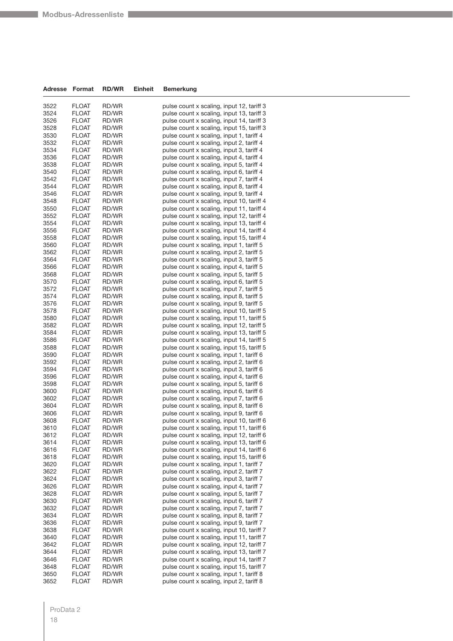| Adresse | Format       | <b>RD/WR</b> | <b>Einheit</b> | <b>Bemerkung</b>                          |
|---------|--------------|--------------|----------------|-------------------------------------------|
| 3522    | <b>FLOAT</b> | RD/WR        |                | pulse count x scaling, input 12, tariff 3 |
| 3524    | <b>FLOAT</b> | RD/WR        |                | pulse count x scaling, input 13, tariff 3 |
| 3526    | <b>FLOAT</b> | RD/WR        |                | pulse count x scaling, input 14, tariff 3 |
| 3528    | <b>FLOAT</b> | RD/WR        |                | pulse count x scaling, input 15, tariff 3 |
| 3530    | FLOAT        | RD/WR        |                | pulse count x scaling, input 1, tariff 4  |
| 3532    | <b>FLOAT</b> | RD/WR        |                | pulse count x scaling, input 2, tariff 4  |
| 3534    | FLOAT        | RD/WR        |                | pulse count x scaling, input 3, tariff 4  |
| 3536    | <b>FLOAT</b> | RD/WR        |                | pulse count x scaling, input 4, tariff 4  |
| 3538    | <b>FLOAT</b> | RD/WR        |                | pulse count x scaling, input 5, tariff 4  |
| 3540    | FLOAT        | RD/WR        |                | pulse count x scaling, input 6, tariff 4  |
| 3542    | <b>FLOAT</b> | RD/WR        |                | pulse count x scaling, input 7, tariff 4  |
| 3544    | FLOAT        | RD/WR        |                | pulse count x scaling, input 8, tariff 4  |
| 3546    | <b>FLOAT</b> | RD/WR        |                | pulse count x scaling, input 9, tariff 4  |
| 3548    | <b>FLOAT</b> | RD/WR        |                | pulse count x scaling, input 10, tariff 4 |
| 3550    | FLOAT        | RD/WR        |                | pulse count x scaling, input 11, tariff 4 |
| 3552    | <b>FLOAT</b> | RD/WR        |                | pulse count x scaling, input 12, tariff 4 |
| 3554    | <b>FLOAT</b> | RD/WR        |                | pulse count x scaling, input 13, tariff 4 |
| 3556    | FLOAT        | RD/WR        |                | pulse count x scaling, input 14, tariff 4 |
| 3558    | <b>FLOAT</b> | RD/WR        |                | pulse count x scaling, input 15, tariff 4 |
| 3560    | FLOAT        | RD/WR        |                | pulse count x scaling, input 1, tariff 5  |
| 3562    | <b>FLOAT</b> | RD/WR        |                | pulse count x scaling, input 2, tariff 5  |
| 3564    | <b>FLOAT</b> | RD/WR        |                | pulse count x scaling, input 3, tariff 5  |
| 3566    | <b>FLOAT</b> | RD/WR        |                | pulse count x scaling, input 4, tariff 5  |
| 3568    | <b>FLOAT</b> | RD/WR        |                | pulse count x scaling, input 5, tariff 5  |
| 3570    | FLOAT        | RD/WR        |                | pulse count x scaling, input 6, tariff 5  |
| 3572    | <b>FLOAT</b> | RD/WR        |                | pulse count x scaling, input 7, tariff 5  |
| 3574    | <b>FLOAT</b> | RD/WR        |                | pulse count x scaling, input 8, tariff 5  |
| 3576    | <b>FLOAT</b> | RD/WR        |                | pulse count x scaling, input 9, tariff 5  |
| 3578    | <b>FLOAT</b> | RD/WR        |                | pulse count x scaling, input 10, tariff 5 |
| 3580    | FLOAT        | RD/WR        |                | pulse count x scaling, input 11, tariff 5 |
| 3582    | <b>FLOAT</b> | RD/WR        |                | pulse count x scaling, input 12, tariff 5 |
| 3584    | <b>FLOAT</b> | RD/WR        |                | pulse count x scaling, input 13, tariff 5 |
| 3586    | FLOAT        | RD/WR        |                | pulse count x scaling, input 14, tariff 5 |
| 3588    | <b>FLOAT</b> | RD/WR        |                | pulse count x scaling, input 15, tariff 5 |
| 3590    | <b>FLOAT</b> | RD/WR        |                | pulse count x scaling, input 1, tariff 6  |
| 3592    | <b>FLOAT</b> | RD/WR        |                | pulse count x scaling, input 2, tariff 6  |
| 3594    | <b>FLOAT</b> | RD/WR        |                | pulse count x scaling, input 3, tariff 6  |
| 3596    | FLOAT        | RD/WR        |                | pulse count x scaling, input 4, tariff 6  |
| 3598    | FLOAT        | RD/WR        |                | pulse count x scaling, input 5, tariff 6  |
| 3600    | <b>FLOAT</b> | RD/WR        |                | pulse count x scaling, input 6, tariff 6  |
| 3602    | <b>FLOAT</b> | RD/WR        |                | pulse count x scaling, input 7, tariff 6  |
| 3604    | FLOAT        | RD/WR        |                | pulse count x scaling, input 8, tariff 6  |
| 3606    | <b>FLOAT</b> | RD/WR        |                | pulse count x scaling, input 9, tariff 6  |
| 3608    | <b>FLOAT</b> | RD/WR        |                | pulse count x scaling, input 10, tariff 6 |
| 3610    | FLOAT        | RD/WR        |                | pulse count x scaling, input 11, tariff 6 |
| 3612    | FLOAT        | RD/WR        |                | pulse count x scaling, input 12, tariff 6 |
| 3614    | FLOAT        | RD/WR        |                | pulse count x scaling, input 13, tariff 6 |
| 3616    | FLOAT        | RD/WR        |                | pulse count x scaling, input 14, tariff 6 |
| 3618    | <b>FLOAT</b> | RD/WR        |                | pulse count x scaling, input 15, tariff 6 |
| 3620    | <b>FLOAT</b> | RD/WR        |                | pulse count x scaling, input 1, tariff 7  |
| 3622    | FLOAT        | RD/WR        |                | pulse count x scaling, input 2, tariff 7  |
| 3624    | <b>FLOAT</b> | RD/WR        |                | pulse count x scaling, input 3, tariff 7  |
| 3626    | <b>FLOAT</b> | RD/WR        |                | pulse count x scaling, input 4, tariff 7  |
| 3628    | FLOAT        | RD/WR        |                | pulse count x scaling, input 5, tariff 7  |
| 3630    | <b>FLOAT</b> | RD/WR        |                | pulse count x scaling, input 6, tariff 7  |
| 3632    | FLOAT        | RD/WR        |                | pulse count x scaling, input 7, tariff 7  |
| 3634    | FLOAT        | RD/WR        |                | pulse count x scaling, input 8, tariff 7  |
| 3636    | <b>FLOAT</b> | RD/WR        |                | pulse count x scaling, input 9, tariff 7  |
| 3638    | FLOAT        | RD/WR        |                | pulse count x scaling, input 10, tariff 7 |
| 3640    | <b>FLOAT</b> | RD/WR        |                | pulse count x scaling, input 11, tariff 7 |
| 3642    | FLOAT        | RD/WR        |                | pulse count x scaling, input 12, tariff 7 |
| 3644    | FLOAT        | RD/WR        |                | pulse count x scaling, input 13, tariff 7 |
| 3646    | <b>FLOAT</b> | RD/WR        |                | pulse count x scaling, input 14, tariff 7 |
| 3648    | FLOAT        | RD/WR        |                | pulse count x scaling, input 15, tariff 7 |
| 3650    | FLOAT        | RD/WR        |                | pulse count x scaling, input 1, tariff 8  |
| 3652    | <b>FLOAT</b> | RD/WR        |                | pulse count x scaling, input 2, tariff 8  |

#### ProData 2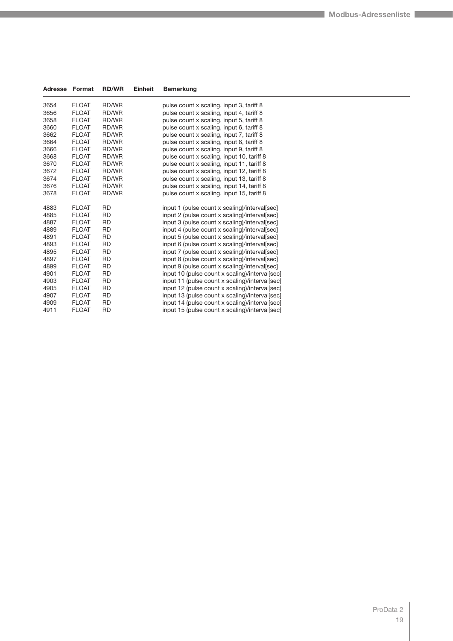| Adresse | Format       | <b>RD/WR</b> | <b>Einheit</b> | <b>Bemerkung</b>                               |
|---------|--------------|--------------|----------------|------------------------------------------------|
| 3654    | <b>FLOAT</b> | RD/WR        |                | pulse count x scaling, input 3, tariff 8       |
| 3656    | <b>FLOAT</b> | RD/WR        |                | pulse count x scaling, input 4, tariff 8       |
| 3658    | <b>FLOAT</b> | RD/WR        |                | pulse count x scaling, input 5, tariff 8       |
| 3660    | <b>FLOAT</b> | RD/WR        |                | pulse count x scaling, input 6, tariff 8       |
| 3662    | <b>FLOAT</b> | RD/WR        |                | pulse count x scaling, input 7, tariff 8       |
| 3664    | <b>FLOAT</b> | RD/WR        |                | pulse count x scaling, input 8, tariff 8       |
| 3666    | <b>FLOAT</b> | RD/WR        |                | pulse count x scaling, input 9, tariff 8       |
| 3668    | <b>FLOAT</b> | RD/WR        |                | pulse count x scaling, input 10, tariff 8      |
| 3670    | <b>FLOAT</b> | RD/WR        |                | pulse count x scaling, input 11, tariff 8      |
| 3672    | <b>FLOAT</b> | RD/WR        |                | pulse count x scaling, input 12, tariff 8      |
| 3674    | <b>FLOAT</b> | RD/WR        |                | pulse count x scaling, input 13, tariff 8      |
| 3676    | <b>FLOAT</b> | RD/WR        |                | pulse count x scaling, input 14, tariff 8      |
| 3678    | <b>FLOAT</b> | RD/WR        |                | pulse count x scaling, input 15, tariff 8      |
| 4883    | <b>FLOAT</b> | <b>RD</b>    |                | input 1 (pulse count x scaling)/interval[sec]  |
| 4885    | <b>FLOAT</b> | <b>RD</b>    |                | input 2 (pulse count x scaling)/interval[sec]  |
| 4887    | <b>FLOAT</b> | <b>RD</b>    |                | input 3 (pulse count x scaling)/interval[sec]  |
| 4889    | <b>FLOAT</b> | <b>RD</b>    |                | input 4 (pulse count x scaling)/interval[sec]  |
| 4891    | <b>FLOAT</b> | <b>RD</b>    |                | input 5 (pulse count x scaling)/interval[sec]  |
| 4893    | <b>FLOAT</b> | <b>RD</b>    |                | input 6 (pulse count x scaling)/interval[sec]  |
| 4895    | <b>FLOAT</b> | <b>RD</b>    |                | input 7 (pulse count x scaling)/interval[sec]  |
| 4897    | <b>FLOAT</b> | <b>RD</b>    |                | input 8 (pulse count x scaling)/interval[sec]  |
| 4899    | <b>FLOAT</b> | <b>RD</b>    |                | input 9 (pulse count x scaling)/interval[sec]  |
| 4901    | <b>FLOAT</b> | <b>RD</b>    |                | input 10 (pulse count x scaling)/interval[sec] |
| 4903    | <b>FLOAT</b> | <b>RD</b>    |                | input 11 (pulse count x scaling)/interval[sec] |
| 4905    | <b>FLOAT</b> | <b>RD</b>    |                | input 12 (pulse count x scaling)/interval[sec] |
| 4907    | <b>FLOAT</b> | <b>RD</b>    |                | input 13 (pulse count x scaling)/interval[sec] |
| 4909    | <b>FLOAT</b> | <b>RD</b>    |                | input 14 (pulse count x scaling)/interval[sec] |
| 4911    | <b>FLOAT</b> | <b>RD</b>    |                | input 15 (pulse count x scaling)/interval[sec] |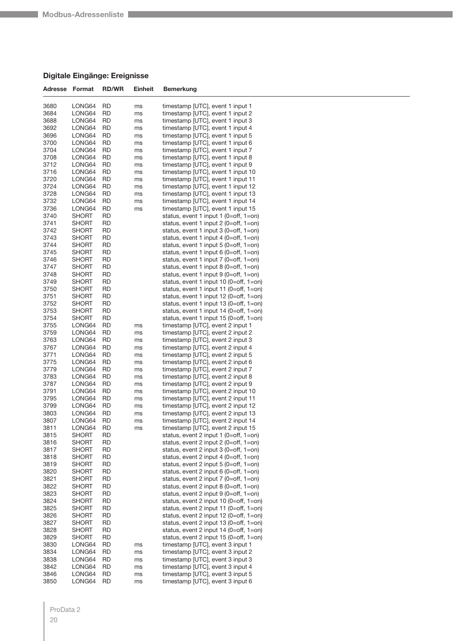### **Digitale Eingänge: Ereignisse**

| Adresse      | Format                | <b>RD/WR</b>    | Einheit  | Bemerkung                                                                        |
|--------------|-----------------------|-----------------|----------|----------------------------------------------------------------------------------|
|              |                       |                 |          |                                                                                  |
| 3680         | LONG64                | RD              | ms       | timestamp [UTC], event 1 input 1                                                 |
| 3684         | LONG64                | RD              | ms       | timestamp [UTC], event 1 input 2                                                 |
| 3688         | LONG64                | RD              | ms       | timestamp [UTC], event 1 input 3                                                 |
| 3692         | LONG64                | <b>RD</b>       | ms       | timestamp [UTC], event 1 input 4                                                 |
| 3696         | LONG64                | RD<br><b>RD</b> | ms       | timestamp [UTC], event 1 input 5                                                 |
| 3700<br>3704 | LONG64<br>LONG64      | RD              | ms<br>ms | timestamp [UTC], event 1 input 6<br>timestamp [UTC], event 1 input 7             |
| 3708         | LONG64                | RD              | ms       | timestamp [UTC], event 1 input 8                                                 |
| 3712         | LONG64                | <b>RD</b>       | ms       | timestamp [UTC], event 1 input 9                                                 |
| 3716         | LONG64                | RD              | ms       | timestamp [UTC], event 1 input 10                                                |
| 3720         | LONG64                | <b>RD</b>       | ms       | timestamp [UTC], event 1 input 11                                                |
| 3724         | LONG64                | RD              | ms       | timestamp [UTC], event 1 input 12                                                |
| 3728         | LONG64                | RD              | ms       | timestamp [UTC], event 1 input 13                                                |
| 3732         | LONG64                | <b>RD</b>       | ms       | timestamp [UTC], event 1 input 14                                                |
| 3736         | LONG64                | RD              | ms       | timestamp [UTC], event 1 input 15                                                |
| 3740         | <b>SHORT</b>          | RD              |          | status, event 1 input 1 (0=off, 1=on)                                            |
| 3741         | SHORT                 | <b>RD</b>       |          | status, event 1 input 2 (0=off, 1=on)                                            |
| 3742         | <b>SHORT</b>          | RD              |          | status, event 1 input 3 (0=off, 1=on)                                            |
| 3743         | <b>SHORT</b>          | <b>RD</b>       |          | status, event 1 input 4 (0=off, 1=on)                                            |
| 3744         | SHORT                 | RD              |          | status, event 1 input 5 (0=off, 1=on)                                            |
| 3745         | <b>SHORT</b>          | RD              |          | status, event 1 input 6 (0=off, 1=on)                                            |
| 3746         | SHORT                 | <b>RD</b>       |          | status, event 1 input 7 (0=off, 1=on)                                            |
| 3747         | <b>SHORT</b>          | RD              |          | status, event 1 input 8 (0=off, 1=on)                                            |
| 3748         | <b>SHORT</b>          | <b>RD</b>       |          | status, event 1 input 9 (0=off, 1=on)                                            |
| 3749         | SHORT                 | RD              |          | status, event 1 input 10 (0=off, 1=on)                                           |
| 3750         | <b>SHORT</b>          | RD              |          | status, event 1 input 11 (0=off, 1=on)                                           |
| 3751         | <b>SHORT</b>          | <b>RD</b>       |          | status, event 1 input 12 (0=off, 1=on)                                           |
| 3752         | <b>SHORT</b>          | RD              |          | status, event 1 input 13 (0=off, 1=on)                                           |
| 3753<br>3754 | <b>SHORT</b><br>SHORT | <b>RD</b><br>RD |          | status, event 1 input 14 (0=off, 1=on)<br>status, event 1 input 15 (0=off, 1=on) |
| 3755         | LONG64                | RD              |          | timestamp [UTC], event 2 input 1                                                 |
| 3759         | LONG64                | <b>RD</b>       | ms<br>ms | timestamp [UTC], event 2 input 2                                                 |
| 3763         | LONG64                | RD              | ms       | timestamp [UTC], event 2 input 3                                                 |
| 3767         | LONG64                | <b>RD</b>       | ms       | timestamp [UTC], event 2 input 4                                                 |
| 3771         | LONG64                | <b>RD</b>       | ms       | timestamp [UTC], event 2 input 5                                                 |
| 3775         | LONG64                | RD              | ms       | timestamp [UTC], event 2 input 6                                                 |
| 3779         | LONG64                | RD              | ms       | timestamp [UTC], event 2 input 7                                                 |
| 3783         | LONG64                | RD              | ms       | timestamp [UTC], event 2 input 8                                                 |
| 3787         | LONG64                | <b>RD</b>       | ms       | timestamp [UTC], event 2 input 9                                                 |
| 3791         | LONG64                | <b>RD</b>       | ms       | timestamp [UTC], event 2 input 10                                                |
| 3795         | LONG64                | RD              | ms       | timestamp [UTC], event 2 input 11                                                |
| 3799         | LONG64                | RD              | ms       | timestamp [UTC], event 2 input 12                                                |
| 3803         | LONG64                | RD              | ms       | timestamp [UTC], event 2 input 13                                                |
| 3807         | LONG64                | <b>RD</b>       | ms       | timestamp [UTC], event 2 input 14                                                |
| 3811         | LONG64                | <b>RD</b>       | ms       | timestamp [UTC], event 2 input 15                                                |
| 3815         | SHORT                 | RD              |          | status, event 2 input 1 (0=off, 1=on)                                            |
| 3816         | SHORT                 | <b>RD</b>       |          | status, event 2 input 2 (0=off, 1=on)                                            |
| 3817<br>3818 | <b>SHORT</b><br>SHORT | RD<br><b>RD</b> |          | status, event 2 input 3 (0=off, 1=on)<br>status, event 2 input 4 (0=off, 1=on)   |
| 3819         | SHORT                 | <b>RD</b>       |          | status, event 2 input $5$ (0=off, 1=on)                                          |
| 3820         | <b>SHORT</b>          | RD              |          | status, event 2 input 6 (0=off, 1=on)                                            |
| 3821         | SHORT                 | <b>RD</b>       |          | status, event 2 input $7$ (0=off, 1=on)                                          |
| 3822         | <b>SHORT</b>          | RD              |          | status, event 2 input 8 $(0=off, 1=on)$                                          |
| 3823         | <b>SHORT</b>          | <b>RD</b>       |          | status, event 2 input 9 (0=off, 1=on)                                            |
| 3824         | SHORT                 | RD              |          | status, event 2 input 10 (0=off, 1=on)                                           |
| 3825         | <b>SHORT</b>          | RD              |          | status, event 2 input 11 (0=off, 1=on)                                           |
| 3826         | SHORT                 | <b>RD</b>       |          | status, event 2 input $12$ (0=off, 1=on)                                         |
| 3827         | <b>SHORT</b>          | RD              |          | status, event 2 input 13 (0=off, 1=on)                                           |
| 3828         | <b>SHORT</b>          | <b>RD</b>       |          | status, event 2 input $14$ (0=off, 1=on)                                         |
| 3829         | SHORT                 | RD              |          | status, event 2 input 15 (0=off, 1=on)                                           |
| 3830         | LONG64                | RD              | ms       | timestamp [UTC], event 3 input 1                                                 |
| 3834         | LONG64                | <b>RD</b>       | ms       | timestamp [UTC], event 3 input 2                                                 |
| 3838         | LONG64                | RD              | ms       | timestamp [UTC], event 3 input 3                                                 |
| 3842         | LONG64                | <b>RD</b>       | ms       | timestamp [UTC], event 3 input 4                                                 |
| 3846         | LONG64                | RD              | ms       | timestamp [UTC], event 3 input 5                                                 |
| 3850         | LONG64                | RD              | ms       | timestamp [UTC], event 3 input 6                                                 |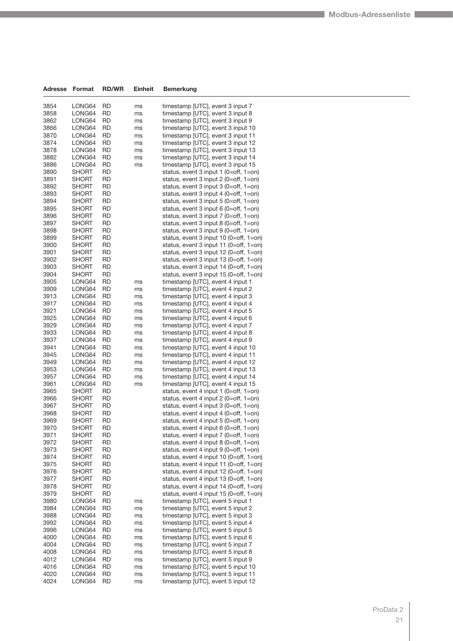| Adresse      | Format                | <b>RD/WR</b>    | Einheit  | Bemerkung                                                                           |
|--------------|-----------------------|-----------------|----------|-------------------------------------------------------------------------------------|
| 3854         | LONG64                | RD              | ms       | timestamp [UTC], event 3 input 7                                                    |
| 3858         | LONG64                | RD              | ms       | timestamp [UTC], event 3 input 8                                                    |
| 3862         | LONG64                | RD              | ms       | timestamp [UTC], event 3 input 9                                                    |
| 3866         | LONG64                | RD              | ms       | timestamp [UTC], event 3 input 10                                                   |
| 3870         | LONG64                | <b>RD</b>       | ms       | timestamp [UTC], event 3 input 11                                                   |
| 3874         | LONG64                | RD              | ms       | timestamp [UTC], event 3 input 12                                                   |
| 3878         | LONG64                | RD              | ms       | timestamp [UTC], event 3 input 13                                                   |
| 3882         | LONG64                | RD              | ms       | timestamp [UTC], event 3 input 14                                                   |
| 3886         | LONG64                | RD              | ms       | timestamp [UTC], event 3 input 15                                                   |
| 3890         | SHORT                 | RD              |          | status, event 3 input 1 (0=off, 1=on)                                               |
| 3891         | SHORT                 | RD              |          | status, event 3 input $2$ (0=off, 1=on)                                             |
| 3892         | SHORT                 | RD              |          | status, event 3 input $3$ (0=off, 1=on)                                             |
| 3893         | SHORT                 | <b>RD</b>       |          | status, event 3 input 4 (0=off, $1=$ on)                                            |
| 3894         | SHORT                 | RD              |          | status, event 3 input $5$ (0=off, 1=on)                                             |
| 3895         | SHORT                 | RD              |          | status, event 3 input 6 (0=off, $1=$ on)                                            |
| 3896<br>3897 | SHORT<br>SHORT        | RD<br>RD        |          | status, event 3 input $7$ (0=off, 1=on)                                             |
| 3898         | SHORT                 | <b>RD</b>       |          | status, event 3 input 8 $(0=off, 1=on)$<br>status, event 3 input 9 (0=off, $1=$ on) |
| 3899         | <b>SHORT</b>          | RD              |          | status, event 3 input 10 (0=off, 1=on)                                              |
| 3900         | <b>SHORT</b>          | RD              |          | status, event 3 input 11 (0=off, 1=on)                                              |
| 3901         | SHORT                 | RD              |          | status, event 3 input 12 (0=off, 1=on)                                              |
| 3902         | SHORT                 | RD              |          | status, event 3 input 13 (0=off, 1=on)                                              |
| 3903         | SHORT                 | RD              |          | status, event 3 input $14$ (0=off, 1=on)                                            |
| 3904         | SHORT                 | RD              |          | status, event 3 input $15$ (0=off, 1=on)                                            |
| 3905         | LONG64                | RD              | ms       | timestamp [UTC], event 4 input 1                                                    |
| 3909         | LONG64                | <b>RD</b>       | ms       | timestamp [UTC], event 4 input 2                                                    |
| 3913         | LONG64                | RD              | ms       | timestamp [UTC], event 4 input 3                                                    |
| 3917         | LONG64                | <b>RD</b>       | ms       | timestamp [UTC], event 4 input 4                                                    |
| 3921         | LONG64                | RD              | ms       | timestamp [UTC], event 4 input 5                                                    |
| 3925         | LONG64                | RD              | ms       | timestamp [UTC], event 4 input 6                                                    |
| 3929         | LONG64                | <b>RD</b>       | ms       | timestamp [UTC], event 4 input 7                                                    |
| 3933         | LONG64                | RD              | ms       | timestamp [UTC], event 4 input 8                                                    |
| 3937         | LONG64                | RD              | ms       | timestamp [UTC], event 4 input 9                                                    |
| 3941         | LONG64                | RD              | ms       | timestamp [UTC], event 4 input 10                                                   |
| 3945         | LONG64                | RD<br><b>RD</b> | ms       | timestamp [UTC], event 4 input 11                                                   |
| 3949<br>3953 | LONG64<br>LONG64      | RD              | ms<br>ms | timestamp [UTC], event 4 input 12<br>timestamp [UTC], event 4 input 13              |
| 3957         | LONG64                | <b>RD</b>       | ms       | timestamp [UTC], event 4 input 14                                                   |
| 3961         | LONG64                | RD              | ms       | timestamp [UTC], event 4 input 15                                                   |
| 3965         | <b>SHORT</b>          | RD              |          | status, event 4 input 1 (0=off, 1=on)                                               |
| 3966         | SHORT                 | RD              |          | status, event 4 input $2$ (0=off, 1=on)                                             |
| 3967         | SHORT                 | RD              |          | status, event 4 input $3$ (0=off, 1=on)                                             |
| 3968         | SHORT                 | RD              |          | status, event 4 input 4 (0=off, $1=$ on)                                            |
| 3969         | SHORT                 | RD              |          | status, event 4 input 5 (0=off, $1=$ on)                                            |
| 3970         | <b>SHORT</b>          | <b>RD</b>       |          | status, event 4 input 6 (0=off, $1=$ on)                                            |
| 3971         | <b>SHORT</b>          | RD              |          | status, event 4 input $7$ (0=off, 1=on)                                             |
| 3972         | SHORT                 | <b>RD</b>       |          | status, event 4 input 8 $(0=off, 1=on)$                                             |
| 3973         | SHORT                 | <b>RD</b>       |          | status, event 4 input 9 $(0=off, 1=on)$                                             |
| 3974         | SHORT                 | <b>RD</b>       |          | status, event 4 input 10 (0=off, 1=on)                                              |
| 3975         | SHORT                 | <b>RD</b>       |          | status, event 4 input 11 (0=off, 1=on)                                              |
| 3976         | SHORT                 | RD              |          | status, event 4 input 12 (0=off, 1=on)                                              |
| 3977<br>3978 | SHORT<br><b>SHORT</b> | RD<br><b>RD</b> |          | status, event 4 input 13 (0=off, 1=on)<br>status, event 4 input 14 (0=off, 1=on)    |
| 3979         | SHORT                 | RD              |          | status, event 4 input $15$ (0=off, 1=on)                                            |
| 3980         | LONG64                | <b>RD</b>       | ms       | timestamp [UTC], event 5 input 1                                                    |
| 3984         | LONG64                | <b>RD</b>       | ms       | timestamp [UTC], event 5 input 2                                                    |
| 3988         | LONG64                | <b>RD</b>       | ms       | timestamp [UTC], event 5 input 3                                                    |
| 3992         | LONG64                | <b>RD</b>       | ms       | timestamp [UTC], event 5 input 4                                                    |
| 3996         | LONG64                | RD              | ms       | timestamp [UTC], event 5 input 5                                                    |
| 4000         | LONG64                | <b>RD</b>       | ms       | timestamp [UTC], event 5 input 6                                                    |
| 4004         | LONG64                | <b>RD</b>       | ms       | timestamp [UTC], event 5 input 7                                                    |
| 4008         | LONG64                | <b>RD</b>       | ms       | timestamp [UTC], event 5 input 8                                                    |
| 4012         | LONG64                | <b>RD</b>       | ms       | timestamp [UTC], event 5 input 9                                                    |
| 4016         | LONG64                | RD              | ms       | timestamp [UTC], event 5 input 10                                                   |
| 4020         | LONG64                | <b>RD</b>       | ms       | timestamp [UTC], event 5 input 11                                                   |
| 4024         | LONG64                | <b>RD</b>       | ms       | timestamp [UTC], event 5 input 12                                                   |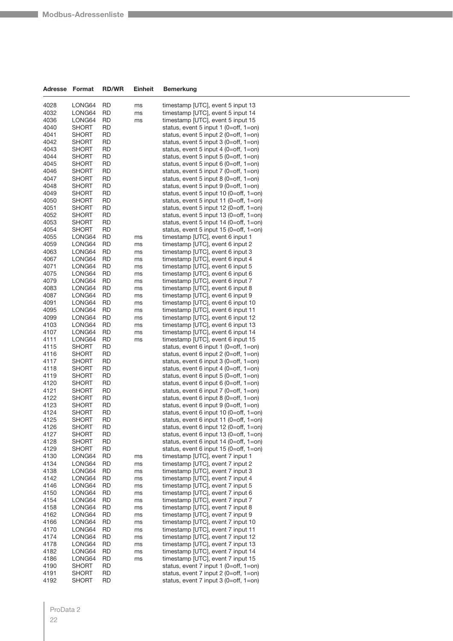| Adresse      | Format           | <b>RD/WR</b>    | <b>Einheit</b> | <b>Bemerkung</b>                                                                    |  |
|--------------|------------------|-----------------|----------------|-------------------------------------------------------------------------------------|--|
| 4028         | LONG64           | RD              | ms             | timestamp [UTC], event 5 input 13                                                   |  |
| 4032         | LONG64           | RD              | ms             | timestamp [UTC], event 5 input 14                                                   |  |
| 4036         | LONG64           | RD              | ms             | timestamp [UTC], event 5 input 15                                                   |  |
| 4040         | SHORT            | RD              |                | status, event 5 input 1 (0=off, 1=on)                                               |  |
| 4041         | SHORT            | RD              |                | status, event 5 input 2 (0=off, 1=on)                                               |  |
| 4042         | SHORT            | RD              |                | status, event 5 input $3$ (0=off, 1=on)                                             |  |
| 4043         | SHORT            | <b>RD</b>       |                | status, event 5 input 4 (0=off, 1=on)                                               |  |
| 4044         | SHORT            | RD              |                | status, event 5 input 5 (0=off, 1=on)                                               |  |
| 4045         | SHORT            | RD              |                | status, event 5 input 6 (0=off, $1=$ on)                                            |  |
| 4046<br>4047 | SHORT<br>SHORT   | RD<br>RD        |                | status, event 5 input $7$ (0=off, 1=on)<br>status, event 5 input 8 (0=off, $1=$ on) |  |
| 4048         | <b>SHORT</b>     | RD              |                | status, event 5 input 9 (0=off, $1=$ on)                                            |  |
| 4049         | <b>SHORT</b>     | RD              |                | status, event 5 input 10 (0=off, 1=on)                                              |  |
| 4050         | SHORT            | RD              |                | status, event 5 input 11 (0=off, 1=on)                                              |  |
| 4051         | SHORT            | RD              |                | status, event 5 input 12 (0=off, 1=on)                                              |  |
| 4052         | SHORT            | RD              |                | status, event 5 input 13 (0=off, 1=on)                                              |  |
| 4053         | SHORT            | RD              |                | status, event 5 input 14 (0=off, 1=on)                                              |  |
| 4054         | SHORT            | RD              |                | status, event 5 input 15 (0=off, 1=on)                                              |  |
| 4055         | LONG64           | RD              | ms             | timestamp [UTC], event 6 input 1                                                    |  |
| 4059         | LONG64           | RD              | ms             | timestamp [UTC], event 6 input 2                                                    |  |
| 4063         | LONG64           | RD              | ms             | timestamp [UTC], event 6 input 3                                                    |  |
| 4067         | LONG64           | RD              | ms             | timestamp [UTC], event 6 input 4                                                    |  |
| 4071         | LONG64           | RD              | ms             | timestamp [UTC], event 6 input 5                                                    |  |
| 4075         | LONG64           | RD              | ms             | timestamp [UTC], event 6 input 6                                                    |  |
| 4079         | LONG64           | RD              | ms             | timestamp [UTC], event 6 input 7                                                    |  |
| 4083         | LONG64           | RD              | ms             | timestamp [UTC], event 6 input 8                                                    |  |
| 4087         | LONG64           | RD              | ms             | timestamp [UTC], event 6 input 9                                                    |  |
| 4091<br>4095 | LONG64<br>LONG64 | RD<br>RD        | ms<br>ms       | timestamp [UTC], event 6 input 10<br>timestamp [UTC], event 6 input 11              |  |
| 4099         | LONG64           | RD              | ms             | timestamp [UTC], event 6 input 12                                                   |  |
| 4103         | LONG64           | RD              | ms             | timestamp [UTC], event 6 input 13                                                   |  |
| 4107         | LONG64           | RD              | ms             | timestamp [UTC], event 6 input 14                                                   |  |
| 4111         | LONG64           | RD              | ms             | timestamp [UTC], event 6 input 15                                                   |  |
| 4115         | SHORT            | RD              |                | status, event 6 input 1 (0=off, 1=on)                                               |  |
| 4116         | SHORT            | RD              |                | status, event 6 input 2 (0=off, 1=on)                                               |  |
| 4117         | SHORT            | RD              |                | status, event 6 input 3 (0=off, 1=on)                                               |  |
| 4118         | SHORT            | RD              |                | status, event 6 input 4 (0=off, 1=on)                                               |  |
| 4119         | SHORT            | RD              |                | status, event 6 input 5 (0=off, 1=on)                                               |  |
| 4120         | SHORT            | <b>RD</b>       |                | status, event 6 input 6 (0=off, 1=on)                                               |  |
| 4121         | SHORT            | RD              |                | status, event 6 input 7 (0=off, 1=on)                                               |  |
| 4122         | <b>SHORT</b>     | RD              |                | status, event 6 input 8 (0=off, 1=on)                                               |  |
| 4123         | SHORT            | RD              |                | status, event 6 input 9 (0=off, $1=$ on)                                            |  |
| 4124         | SHORT            | RD              |                | status, event 6 input 10 (0=off, 1=on)                                              |  |
| 4125<br>4126 | SHORT<br>SHORT   | RD<br>RD        |                | status, event 6 input 11 (0=off, 1=on)<br>status, event 6 input 12 (0=off, 1=on)    |  |
| 4127         | SHORT            | <b>RD</b>       |                | status, event 6 input 13 (0=off, 1=on)                                              |  |
| 4128         | <b>SHORT</b>     | <b>RD</b>       |                | status, event 6 input 14 (0=off, 1=on)                                              |  |
| 4129         | SHORT            | <b>RD</b>       |                | status, event 6 input 15 (0=off, 1=on)                                              |  |
| 4130         | LONG64           | <b>RD</b>       | ms             | timestamp [UTC], event 7 input 1                                                    |  |
| 4134         | LONG64           | RD              | ms             | timestamp [UTC], event 7 input 2                                                    |  |
| 4138         | LONG64           | <b>RD</b>       | ms             | timestamp [UTC], event 7 input 3                                                    |  |
| 4142         | LONG64           | <b>RD</b>       | ms             | timestamp [UTC], event 7 input 4                                                    |  |
| 4146         | LONG64           | RD              | ms             | timestamp [UTC], event 7 input 5                                                    |  |
| 4150         | LONG64           | <b>RD</b>       | ms             | timestamp [UTC], event 7 input 6                                                    |  |
| 4154         | LONG64           | RD              | ms             | timestamp [UTC], event 7 input 7                                                    |  |
| 4158         | LONG64           | RD              | ms             | timestamp [UTC], event 7 input 8                                                    |  |
| 4162         | LONG64           | <b>RD</b>       | ms             | timestamp [UTC], event 7 input 9                                                    |  |
| 4166<br>4170 | LONG64           | RD<br><b>RD</b> | ms             | timestamp [UTC], event 7 input 10<br>timestamp [UTC], event 7 input 11              |  |
| 4174         | LONG64<br>LONG64 | RD              | ms<br>ms       | timestamp [UTC], event 7 input 12                                                   |  |
| 4178         | LONG64           | RD              | ms             | timestamp [UTC], event 7 input 13                                                   |  |
| 4182         | LONG64           | <b>RD</b>       | ms             | timestamp [UTC], event 7 input 14                                                   |  |
| 4186         | LONG64           | RD              | ms             | timestamp [UTC], event 7 input 15                                                   |  |
| 4190         | SHORT            | <b>RD</b>       |                | status, event 7 input 1 (0=off, 1=on)                                               |  |
| 4191         | <b>SHORT</b>     | RD              |                | status, event 7 input 2 (0=off, 1=on)                                               |  |
| 4192         | <b>SHORT</b>     | <b>RD</b>       |                | status, event 7 input 3 (0=off, 1=on)                                               |  |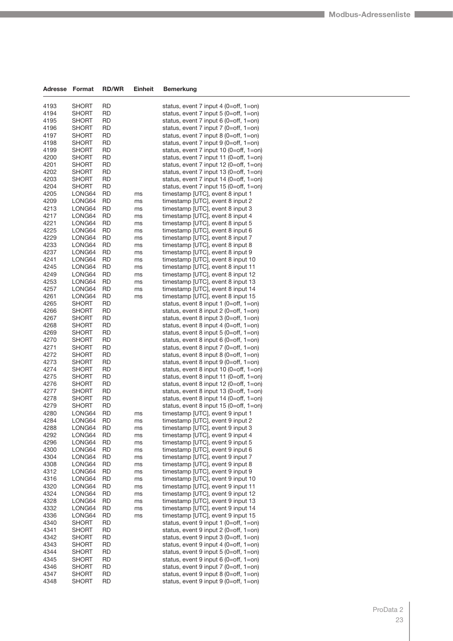| Adresse      | Format                | <b>RD/WR</b>           | Einheit  | <b>Bemerkung</b>                                                                   |
|--------------|-----------------------|------------------------|----------|------------------------------------------------------------------------------------|
| 4193         | SHORT                 | RD                     |          | status, event 7 input 4 (0=off, 1=on)                                              |
| 4194         | SHORT                 | RD                     |          | status, event 7 input 5 (0=off, 1=on)                                              |
| 4195         | <b>SHORT</b>          | <b>RD</b>              |          | status, event 7 input 6 (0=off, $1=$ on)                                           |
| 4196         | SHORT                 | RD                     |          | status, event 7 input 7 (0=off, 1=on)                                              |
| 4197         | SHORT                 | <b>RD</b>              |          | status, event 7 input 8 (0=off, 1=on)                                              |
| 4198         | <b>SHORT</b>          | <b>RD</b>              |          | status, event 7 input 9 (0=off, 1=on)                                              |
| 4199         | SHORT                 | <b>RD</b>              |          | status, event 7 input 10 (0=off, 1=on)                                             |
| 4200         | <b>SHORT</b>          | <b>RD</b>              |          | status, event 7 input 11 (0=off, 1=on)                                             |
| 4201         | SHORT                 | RD                     |          | status, event 7 input 12 (0=off, 1=on)                                             |
| 4202         | SHORT                 | RD                     |          | status, event 7 input 13 (0=off, 1=on)                                             |
| 4203         | <b>SHORT</b>          | <b>RD</b><br><b>RD</b> |          | status, event 7 input $14$ (0=off, 1=on)<br>status, event 7 input 15 (0=off, 1=on) |
| 4204<br>4205 | SHORT<br>LONG64       | <b>RD</b>              |          | timestamp [UTC], event 8 input 1                                                   |
| 4209         | LONG64                | RD                     | ms<br>ms | timestamp [UTC], event 8 input 2                                                   |
| 4213         | LONG64                | <b>RD</b>              | ms       | timestamp [UTC], event 8 input 3                                                   |
| 4217         | LONG64                | <b>RD</b>              | ms       | timestamp [UTC], event 8 input 4                                                   |
| 4221         | LONG64                | <b>RD</b>              | ms       | timestamp [UTC], event 8 input 5                                                   |
| 4225         | LONG64                | <b>RD</b>              | ms       | timestamp [UTC], event 8 input 6                                                   |
| 4229         | LONG64                | RD                     | ms       | timestamp [UTC], event 8 input 7                                                   |
| 4233         | LONG64                | <b>RD</b>              | ms       | timestamp [UTC], event 8 input 8                                                   |
| 4237         | LONG64                | <b>RD</b>              | ms       | timestamp [UTC], event 8 input 9                                                   |
| 4241         | LONG64                | <b>RD</b>              | ms       | timestamp [UTC], event 8 input 10                                                  |
| 4245<br>4249 | LONG64                | <b>RD</b>              | ms       | timestamp [UTC], event 8 input 11                                                  |
| 4253         | LONG64<br>LONG64      | RD<br>RD               | ms<br>ms | timestamp [UTC], event 8 input 12<br>timestamp [UTC], event 8 input 13             |
| 4257         | LONG64                | <b>RD</b>              | ms       | timestamp [UTC], event 8 input 14                                                  |
| 4261         | LONG64                | <b>RD</b>              | ms       | timestamp [UTC], event 8 input 15                                                  |
| 4265         | <b>SHORT</b>          | <b>RD</b>              |          | status, event 8 input 1 (0=off, 1=on)                                              |
| 4266         | SHORT                 | RD                     |          | status, event 8 input 2 (0=off, 1=on)                                              |
| 4267         | SHORT                 | RD                     |          | status, event 8 input $3$ (0=off, 1=on)                                            |
| 4268         | SHORT                 | <b>RD</b>              |          | status, event 8 input 4 (0=off, $1=$ on)                                           |
| 4269         | <b>SHORT</b>          | <b>RD</b>              |          | status, event 8 input 5 (0=off, $1=$ on)                                           |
| 4270         | SHORT                 | <b>RD</b>              |          | status, event 8 input 6 (0=off, 1=on)                                              |
| 4271         | SHORT                 | RD                     |          | status, event 8 input 7 (0=off, $1=$ on)                                           |
| 4272         | SHORT                 | <b>RD</b>              |          | status, event 8 input 8 (0=off, $1=$ on)                                           |
| 4273<br>4274 | SHORT<br><b>SHORT</b> | <b>RD</b><br>RD        |          | status, event 8 input 9 (0=off, 1=on)<br>status, event 8 input 10 (0=off, 1=on)    |
| 4275         | SHORT                 | RD                     |          | status, event 8 input 11 (0=off, 1=on)                                             |
| 4276         | SHORT                 | RD                     |          | status, event 8 input 12 (0=off, 1=on)                                             |
| 4277         | SHORT                 | <b>RD</b>              |          | status, event 8 input 13 (0=off, 1=on)                                             |
| 4278         | SHORT                 | <b>RD</b>              |          | status, event 8 input 14 (0=off, 1=on)                                             |
| 4279         | <b>SHORT</b>          | <b>RD</b>              |          | status, event 8 input 15 (0=off, 1=on)                                             |
| 4280         | LONG64                | <b>RD</b>              | ms       | timestamp [UTC], event 9 input 1                                                   |
| 4284         | LONG64                | <b>RD</b>              | ms       | timestamp [UTC], event 9 input 2                                                   |
| 4288         | LONG64                | <b>RD</b>              | ms       | timestamp [UTC], event 9 input 3                                                   |
| 4292         | LONG64<br>LONG64      | <b>RD</b>              | ms       | timestamp [UTC], event 9 input 4<br>timestamp [UTC], event 9 input 5               |
| 4296<br>4300 | LONG64                | <b>RD</b><br><b>RD</b> | ms<br>ms | timestamp [UTC], event 9 input 6                                                   |
| 4304         | LONG64                | <b>RD</b>              | ms       | timestamp [UTC], event 9 input 7                                                   |
| 4308         | LONG64                | <b>RD</b>              | ms       | timestamp [UTC], event 9 input 8                                                   |
| 4312         | LONG64                | <b>RD</b>              | ms       | timestamp [UTC], event 9 input 9                                                   |
| 4316         | LONG64                | <b>RD</b>              | ms       | timestamp [UTC], event 9 input 10                                                  |
| 4320         | LONG64                | <b>RD</b>              | ms       | timestamp [UTC], event 9 input 11                                                  |
| 4324         | LONG64                | <b>RD</b>              | ms       | timestamp [UTC], event 9 input 12                                                  |
| 4328         | LONG64                | <b>RD</b>              | ms       | timestamp [UTC], event 9 input 13                                                  |
| 4332         | LONG64                | <b>RD</b>              | ms       | timestamp [UTC], event 9 input 14                                                  |
| 4336         | LONG64                | <b>RD</b>              | ms       | timestamp [UTC], event 9 input 15                                                  |
| 4340         | <b>SHORT</b>          | <b>RD</b>              |          | status, event 9 input 1 (0=off, 1=on)                                              |
| 4341         | SHORT                 | <b>RD</b>              |          | status, event 9 input $2$ (0=off, 1=on)                                            |
| 4342<br>4343 | SHORT<br>SHORT        | <b>RD</b><br><b>RD</b> |          | status, event 9 input $3$ (0=off, 1=on)<br>status, event 9 input 4 (0=off, 1=on)   |
| 4344         | SHORT                 | <b>RD</b>              |          | status, event 9 input 5 (0=off, $1=$ on)                                           |
| 4345         | <b>SHORT</b>          | <b>RD</b>              |          | status, event 9 input 6 (0=off, $1=$ on)                                           |
| 4346         | SHORT                 | <b>RD</b>              |          | status, event 9 input $7$ (0=off, 1=on)                                            |
| 4347         | SHORT                 | <b>RD</b>              |          | status, event 9 input 8 (0=off, $1=$ on)                                           |
| 4348         | SHORT                 | <b>RD</b>              |          | status, event 9 input 9 (0=off, 1=on)                                              |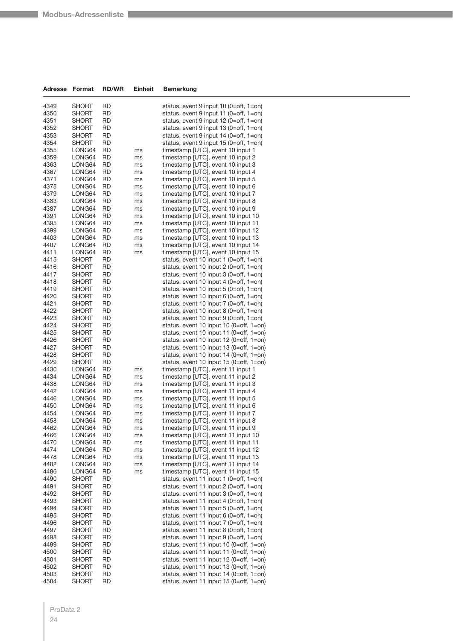| Adresse      | Format                       | <b>RD/WR</b> | Einheit  | <b>Bemerkung</b>                                                                 |
|--------------|------------------------------|--------------|----------|----------------------------------------------------------------------------------|
| 4349         | <b>SHORT</b>                 | RD           |          | status, event 9 input 10 (0=off, 1=on)                                           |
| 4350         | SHORT                        | RD           |          | status, event 9 input 11 (0=off, 1=on)                                           |
| 4351         | <b>SHORT</b>                 | RD           |          | status, event 9 input 12 (0=off, 1=on)                                           |
| 4352         | <b>SHORT</b>                 | RD           |          | status, event 9 input 13 (0=off, 1=on)                                           |
| 4353         | <b>SHORT</b>                 | RD           |          | status, event 9 input 14 (0=off, 1=on)                                           |
| 4354         | <b>SHORT</b>                 | RD           |          | status, event 9 input 15 (0=off, 1=on)                                           |
| 4355         | LONG64                       | RD           | ms       | timestamp [UTC], event 10 input 1                                                |
| 4359<br>4363 | LONG64<br>LONG64             | RD<br>RD     | ms       | timestamp [UTC], event 10 input 2<br>timestamp [UTC], event 10 input 3           |
| 4367         | LONG64                       | RD           | ms<br>ms | timestamp [UTC], event 10 input 4                                                |
| 4371         | LONG64                       | RD           | ms       | timestamp [UTC], event 10 input 5                                                |
| 4375         | LONG64                       | RD           | ms       | timestamp [UTC], event 10 input 6                                                |
| 4379         | LONG64                       | RD           | ms       | timestamp [UTC], event 10 input 7                                                |
| 4383         | LONG64                       | RD           | ms       | timestamp [UTC], event 10 input 8                                                |
| 4387         | LONG64                       | RD           | ms       | timestamp [UTC], event 10 input 9                                                |
| 4391         | LONG64                       | RD           | ms       | timestamp [UTC], event 10 input 10                                               |
| 4395         | LONG64                       | RD           | ms       | timestamp [UTC], event 10 input 11                                               |
| 4399         | LONG64                       | RD           | ms       | timestamp [UTC], event 10 input 12                                               |
| 4403         | LONG64                       | RD           | ms       | timestamp [UTC], event 10 input 13                                               |
| 4407         | LONG64                       | RD           | ms       | timestamp [UTC], event 10 input 14                                               |
| 4411         | LONG64                       | RD           | ms       | timestamp [UTC], event 10 input 15                                               |
| 4415         | <b>SHORT</b>                 | <b>RD</b>    |          | status, event 10 input 1 (0=off, 1=on)                                           |
| 4416         | <b>SHORT</b>                 | RD           |          | status, event 10 input 2 (0=off, 1=on)                                           |
| 4417         | <b>SHORT</b>                 | RD           |          | status, event 10 input 3 (0=off, 1=on)                                           |
| 4418<br>4419 | <b>SHORT</b><br><b>SHORT</b> | RD<br>RD     |          | status, event 10 input 4 (0=off, 1=on)                                           |
| 4420         | SHORT                        | <b>RD</b>    |          | status, event 10 input 5 (0=off, 1=on)<br>status, event 10 input 6 (0=off, 1=on) |
| 4421         | <b>SHORT</b>                 | RD           |          | status, event 10 input $7$ (0=off, 1=on)                                         |
| 4422         | <b>SHORT</b>                 | RD           |          | status, event 10 input 8 (0=off, 1=on)                                           |
| 4423         | <b>SHORT</b>                 | RD           |          | status, event 10 input $9$ (0=off, 1=on)                                         |
| 4424         | <b>SHORT</b>                 | RD           |          | status, event 10 input 10 (0=off, 1=on)                                          |
| 4425         | SHORT                        | <b>RD</b>    |          | status, event 10 input 11 (0=off, 1=on)                                          |
| 4426         | <b>SHORT</b>                 | RD           |          | status, event 10 input 12 (0=off, 1=on)                                          |
| 4427         | <b>SHORT</b>                 | RD           |          | status, event 10 input 13 (0=off, 1=on)                                          |
| 4428         | <b>SHORT</b>                 | RD           |          | status, event 10 input 14 (0=off, 1=on)                                          |
| 4429         | <b>SHORT</b>                 | RD           |          | status, event 10 input 15 (0=off, 1=on)                                          |
| 4430         | LONG64                       | RD           | ms       | timestamp [UTC], event 11 input 1                                                |
| 4434         | LONG64                       | RD           | ms       | timestamp [UTC], event 11 input 2                                                |
| 4438         | LONG64                       | RD           | ms       | timestamp [UTC], event 11 input 3                                                |
| 4442<br>4446 | LONG64<br>LONG64             | RD           | ms       | timestamp [UTC], event 11 input 4<br>timestamp [UTC], event 11 input 5           |
| 4450         | LONG64                       | RD<br>RD     | ms<br>ms | timestamp [UTC], event 11 input 6                                                |
| 4454         | LONG64                       | RD           | ms       | timestamp [UTC], event 11 input 7                                                |
| 4458         | LONG64                       | RD           | ms       | timestamp [UTC], event 11 input 8                                                |
| 4462         | LONG64                       | RD           | ms       | timestamp [UTC], event 11 input 9                                                |
| 4466         | LONG64                       | RD           | ms       | timestamp [UTC], event 11 input 10                                               |
| 4470         | LONG64                       | RD           | ms       | timestamp [UTC], event 11 input 11                                               |
| 4474         | LONG64                       | RD           | ms       | timestamp [UTC], event 11 input 12                                               |
| 4478         | LONG64                       | RD           | ms       | timestamp [UTC], event 11 input 13                                               |
| 4482         | LONG64                       | RD           | ms       | timestamp [UTC], event 11 input 14                                               |
| 4486         | LONG64                       | RD           | ms       | timestamp [UTC], event 11 input 15                                               |
| 4490         | <b>SHORT</b>                 | RD           |          | status, event 11 input 1 (0=off, 1=on)                                           |
| 4491         | <b>SHORT</b>                 | RD           |          | status, event 11 input $2$ (0=off, 1=on)                                         |
| 4492         | <b>SHORT</b>                 | RD           |          | status, event 11 input 3 (0=off, 1=on)                                           |
| 4493<br>4494 | <b>SHORT</b><br><b>SHORT</b> | RD<br>RD     |          | status, event 11 input 4 (0=off, 1=on)<br>status, event 11 input 5 (0=off, 1=on) |
| 4495         | <b>SHORT</b>                 | RD           |          | status, event 11 input 6 (0=off, 1=on)                                           |
| 4496         | <b>SHORT</b>                 | RD           |          | status, event 11 input $7$ (0=off, 1=on)                                         |
| 4497         | <b>SHORT</b>                 | RD           |          | status, event 11 input 8 (0=off, 1=on)                                           |
| 4498         | <b>SHORT</b>                 | RD           |          | status, event 11 input $9$ (0=off, 1=on)                                         |
| 4499         | <b>SHORT</b>                 | RD           |          | status, event 11 input 10 (0=off, 1=on)                                          |
| 4500         | SHORT                        | RD           |          | status, event 11 input 11 (0=off, 1=on)                                          |
| 4501         | <b>SHORT</b>                 | RD           |          | status, event 11 input 12 (0=off, 1=on)                                          |
| 4502         | <b>SHORT</b>                 | RD           |          | status, event 11 input 13 (0=off, 1=on)                                          |
| 4503         | <b>SHORT</b>                 | RD           |          | status, event 11 input 14 (0=off, 1=on)                                          |
| 4504         | SHORT                        | RD           |          | status, event 11 input 15 (0=off, 1=on)                                          |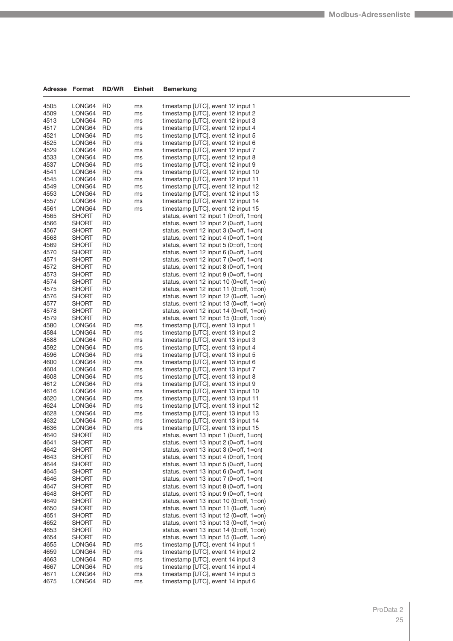| <b>Adresse</b> | Format           | <b>RD/WR</b>           | Einheit  | <b>Bemerkung</b>                                                                   |
|----------------|------------------|------------------------|----------|------------------------------------------------------------------------------------|
| 4505           | LONG64           | <b>RD</b>              | ms       | timestamp [UTC], event 12 input 1                                                  |
| 4509           | LONG64           | <b>RD</b>              | ms       | timestamp [UTC], event 12 input 2                                                  |
| 4513           | LONG64           | RD                     | ms       | timestamp [UTC], event 12 input 3                                                  |
| 4517           | LONG64           | <b>RD</b>              | ms       | timestamp [UTC], event 12 input 4                                                  |
| 4521           | LONG64           | <b>RD</b>              | ms       | timestamp [UTC], event 12 input 5                                                  |
| 4525           | LONG64           | <b>RD</b>              | ms       | timestamp [UTC], event 12 input 6                                                  |
| 4529           | LONG64           | <b>RD</b>              | ms       | timestamp [UTC], event 12 input 7                                                  |
| 4533           | LONG64           | <b>RD</b>              | ms       | timestamp [UTC], event 12 input 8                                                  |
| 4537           | LONG64           | <b>RD</b>              | ms       | timestamp [UTC], event 12 input 9                                                  |
| 4541           | LONG64           | <b>RD</b>              | ms       | timestamp [UTC], event 12 input 10                                                 |
| 4545           | LONG64           | <b>RD</b>              | ms       | timestamp [UTC], event 12 input 11                                                 |
| 4549<br>4553   | LONG64<br>LONG64 | <b>RD</b><br><b>RD</b> | ms       | timestamp [UTC], event 12 input 12<br>timestamp [UTC], event 12 input 13           |
| 4557           | LONG64           | <b>RD</b>              | ms<br>ms | timestamp [UTC], event 12 input 14                                                 |
| 4561           | LONG64           | <b>RD</b>              | ms       | timestamp [UTC], event 12 input 15                                                 |
| 4565           | SHORT            | RD                     |          | status, event 12 input 1 $(0=off, 1=on)$                                           |
| 4566           | SHORT            | RD                     |          | status, event 12 input $2$ (0=off, 1=on)                                           |
| 4567           | <b>SHORT</b>     | <b>RD</b>              |          | status, event 12 input 3 (0=off, 1=on)                                             |
| 4568           | SHORT            | RD                     |          | status, event 12 input 4 $(0=off, 1=on)$                                           |
| 4569           | SHORT            | RD                     |          | status, event 12 input 5 (0=off, 1=on)                                             |
| 4570           | SHORT            | <b>RD</b>              |          | status, event 12 input 6 (0=off, 1=on)                                             |
| 4571           | SHORT            | <b>RD</b>              |          | status, event 12 input $7$ (0=off, 1=on)                                           |
| 4572           | <b>SHORT</b>     | <b>RD</b>              |          | status, event 12 input 8 (0=off, 1=on)                                             |
| 4573           | SHORT            | RD                     |          | status, event 12 input $9(0=off, 1=on)$                                            |
| 4574           | SHORT            | RD                     |          | status, event 12 input 10 (0=off, 1=on)                                            |
| 4575<br>4576   | SHORT<br>SHORT   | <b>RD</b><br><b>RD</b> |          | status, event 12 input 11 (0=off, 1=on)<br>status, event 12 input 12 (0=off, 1=on) |
| 4577           | SHORT            | <b>RD</b>              |          | status, event 12 input 13 (0=off, 1=on)                                            |
| 4578           | SHORT            | RD                     |          | status, event 12 input 14 (0=off, 1=on)                                            |
| 4579           | SHORT            | <b>RD</b>              |          | status, event 12 input 15 (0=off, 1=on)                                            |
| 4580           | LONG64           | <b>RD</b>              | ms       | timestamp [UTC], event 13 input 1                                                  |
| 4584           | LONG64           | <b>RD</b>              | ms       | timestamp [UTC], event 13 input 2                                                  |
| 4588           | LONG64           | <b>RD</b>              | ms       | timestamp [UTC], event 13 input 3                                                  |
| 4592           | LONG64           | <b>RD</b>              | ms       | timestamp [UTC], event 13 input 4                                                  |
| 4596           | LONG64           | <b>RD</b>              | ms       | timestamp [UTC], event 13 input 5                                                  |
| 4600           | LONG64           | <b>RD</b>              | ms       | timestamp [UTC], event 13 input 6                                                  |
| 4604<br>4608   | LONG64<br>LONG64 | <b>RD</b><br><b>RD</b> | ms       | timestamp [UTC], event 13 input 7<br>timestamp [UTC], event 13 input 8             |
| 4612           | LONG64           | <b>RD</b>              | ms<br>ms | timestamp [UTC], event 13 input 9                                                  |
| 4616           | LONG64           | <b>RD</b>              | ms       | timestamp [UTC], event 13 input 10                                                 |
| 4620           | LONG64           | <b>RD</b>              | ms       | timestamp [UTC], event 13 input 11                                                 |
| 4624           | LONG64           | RD                     | ms       | timestamp [UTC], event 13 input 12                                                 |
| 4628           | LONG64           | RD                     | ms       | timestamp [UTC], event 13 input 13                                                 |
| 4632           | LONG64           | RD                     | ms       | timestamp [UTC], event 13 input 14                                                 |
| 4636           | LONG64           | <b>RD</b>              | ms       | timestamp [UTC], event 13 input 15                                                 |
| 4640           | SHORT            | RD                     |          | status, event 13 input 1 (0=off, 1=on)                                             |
| 4641           | <b>SHORT</b>     | <b>RD</b>              |          | status, event 13 input $2$ (0=off, 1=on)                                           |
| 4642           | SHORT            | <b>RD</b>              |          | status, event 13 input $3$ (0=off, 1=on)                                           |
| 4643<br>4644   | SHORT<br>SHORT   | <b>RD</b><br><b>RD</b> |          | status, event 13 input 4 (0=off, 1=on)<br>status, event 13 input $5(0=off, 1=on)$  |
| 4645           | SHORT            | <b>RD</b>              |          | status, event 13 input 6 (0=off, 1=on)                                             |
| 4646           | SHORT            | RD                     |          | status, event 13 input $7$ (0=off, 1=on)                                           |
| 4647           | <b>SHORT</b>     | <b>RD</b>              |          | status, event 13 input 8 $(0=off, 1=on)$                                           |
| 4648           | SHORT            | <b>RD</b>              |          | status, event 13 input $9$ (0=off, 1=on)                                           |
| 4649           | SHORT            | <b>RD</b>              |          | status, event 13 input 10 (0=off, 1=on)                                            |
| 4650           | SHORT            | <b>RD</b>              |          | status, event 13 input 11 (0=off, 1=on)                                            |
| 4651           | SHORT            | RD                     |          | status, event 13 input 12 (0=off, 1=on)                                            |
| 4652           | <b>SHORT</b>     | <b>RD</b>              |          | status, event 13 input 13 (0=off, 1=on)                                            |
| 4653           | SHORT            | <b>RD</b>              |          | status, event 13 input 14 (0=off, 1=on)                                            |
| 4654           | SHORT            | <b>RD</b>              |          | status, event 13 input 15 (0=off, 1=on)                                            |
| 4655           | LONG64           | <b>RD</b>              | ms       | timestamp [UTC], event 14 input 1                                                  |
| 4659           | LONG64           | RD                     | ms       | timestamp [UTC], event 14 input 2                                                  |
| 4663<br>4667   | LONG64<br>LONG64 | <b>RD</b><br><b>RD</b> | ms<br>ms | timestamp [UTC], event 14 input 3<br>timestamp [UTC], event 14 input 4             |
| 4671           | LONG64           | <b>RD</b>              | ms       | timestamp [UTC], event 14 input 5                                                  |
| 4675           | LONG64           | <b>RD</b>              | ms       | timestamp [UTC], event 14 input 6                                                  |
|                |                  |                        |          |                                                                                    |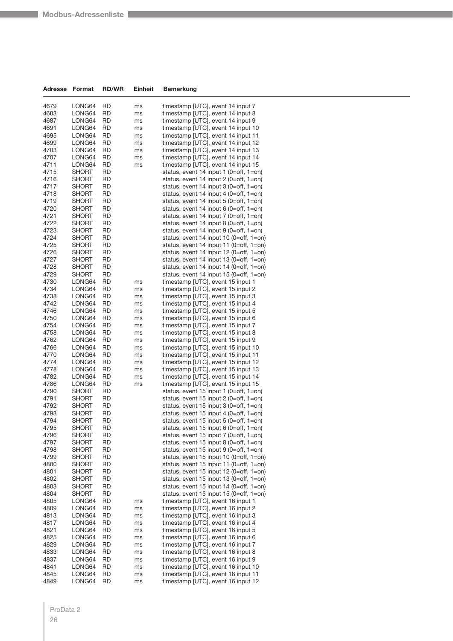| Adresse      | Format           | <b>RD/WR</b>    | Einheit  | Bemerkung                                                                |
|--------------|------------------|-----------------|----------|--------------------------------------------------------------------------|
|              |                  |                 |          |                                                                          |
| 4679         | LONG64           | RD              | ms       | timestamp [UTC], event 14 input 7                                        |
| 4683         | LONG64           | RD              | ms       | timestamp [UTC], event 14 input 8                                        |
| 4687         | LONG64           | RD              | ms       | timestamp [UTC], event 14 input 9<br>timestamp [UTC], event 14 input 10  |
| 4691         | LONG64           | <b>RD</b><br>RD | ms       | timestamp [UTC], event 14 input 11                                       |
| 4695<br>4699 | LONG64<br>LONG64 | <b>RD</b>       | ms       |                                                                          |
| 4703         | LONG64           | RD              | ms<br>ms | timestamp [UTC], event 14 input 12<br>timestamp [UTC], event 14 input 13 |
| 4707         | LONG64           | RD              | ms       | timestamp [UTC], event 14 input 14                                       |
| 4711         | LONG64           | <b>RD</b>       | ms       | timestamp [UTC], event 14 input 15                                       |
| 4715         | <b>SHORT</b>     | RD              |          | status, event 14 input 1 (0=off, 1=on)                                   |
| 4716         | <b>SHORT</b>     | <b>RD</b>       |          | status, event 14 input 2 (0=off, 1=on)                                   |
| 4717         | SHORT            | <b>RD</b>       |          | status, event 14 input 3 (0=off, 1=on)                                   |
| 4718         | <b>SHORT</b>     | RD              |          | status, event 14 input 4 (0=off, 1=on)                                   |
| 4719         | <b>SHORT</b>     | <b>RD</b>       |          | status, event 14 input $5$ (0=off, 1=on)                                 |
| 4720         | SHORT            | RD              |          | status, event 14 input 6 (0=off, 1=on)                                   |
| 4721         | <b>SHORT</b>     | RD              |          | status, event 14 input 7 (0=off, 1=on)                                   |
| 4722         | SHORT            | <b>RD</b>       |          | status, event 14 input 8 (0=off, 1=on)                                   |
| 4723         | <b>SHORT</b>     | RD              |          | status, event 14 input 9 (0=off, 1=on)                                   |
| 4724         | <b>SHORT</b>     | <b>RD</b>       |          | status, event 14 input 10 (0=off, 1=on)                                  |
| 4725         | SHORT            | RD              |          | status, event 14 input 11 (0=off, 1=on)                                  |
| 4726         | <b>SHORT</b>     | RD              |          | status, event 14 input 12 (0=off, 1=on)                                  |
| 4727         | SHORT            | <b>RD</b>       |          | status, event 14 input 13 (0=off, 1=on)                                  |
| 4728         | <b>SHORT</b>     | RD              |          | status, event 14 input 14 (0=off, 1=on)                                  |
| 4729         | <b>SHORT</b>     | <b>RD</b>       |          | status, event 14 input 15 (0=off, 1=on)                                  |
| 4730         | LONG64           | RD              | ms       | timestamp [UTC], event 15 input 1                                        |
| 4734         | LONG64           | RD              | ms       | timestamp [UTC], event 15 input 2                                        |
| 4738         | LONG64           | <b>RD</b>       | ms       | timestamp [UTC], event 15 input 3                                        |
| 4742         | LONG64           | RD              | ms       | timestamp [UTC], event 15 input 4                                        |
| 4746         | LONG64           | <b>RD</b>       | ms       | timestamp [UTC], event 15 input 5                                        |
| 4750         | LONG64           | RD              | ms       | timestamp [UTC], event 15 input 6                                        |
| 4754         | LONG64           | RD              | ms       | timestamp [UTC], event 15 input 7                                        |
| 4758         | LONG64           | <b>RD</b>       | ms       | timestamp [UTC], event 15 input 8                                        |
| 4762         | LONG64           | RD              | ms       | timestamp [UTC], event 15 input 9                                        |
| 4766         | LONG64           | <b>RD</b>       | ms       | timestamp [UTC], event 15 input 10                                       |
| 4770         | LONG64           | <b>RD</b>       | ms       | timestamp [UTC], event 15 input 11                                       |
| 4774         | LONG64           | RD              | ms       | timestamp [UTC], event 15 input 12                                       |
| 4778<br>4782 | LONG64           | <b>RD</b><br>RD | ms       | timestamp [UTC], event 15 input 13                                       |
| 4786         | LONG64<br>LONG64 | <b>RD</b>       | ms<br>ms | timestamp [UTC], event 15 input 14<br>timestamp [UTC], event 15 input 15 |
| 4790         | <b>SHORT</b>     | <b>RD</b>       |          | status, event 15 input 1 (0=off, 1=on)                                   |
| 4791         | <b>SHORT</b>     | RD              |          | status, event 15 input $2$ (0=off, 1=on)                                 |
| 4792         | SHORT            | <b>RD</b>       |          | status, event 15 input 3 (0=off, 1=on)                                   |
| 4793         | <b>SHORT</b>     | RD              |          | status, event 15 input 4 (0=off, 1=on)                                   |
| 4794         | <b>SHORT</b>     | <b>RD</b>       |          | status, event 15 input 5 (0=off, 1=on)                                   |
| 4795         | <b>SHORT</b>     | <b>RD</b>       |          | status, event 15 input 6 (0=off, 1=on)                                   |
| 4796         | SHORT            | <b>RD</b>       |          | status, event 15 input $7$ (0=off, 1=on)                                 |
| 4797         | <b>SHORT</b>     | <b>RD</b>       |          | status, event 15 input 8 (0=off, 1=on)                                   |
| 4798         | <b>SHORT</b>     | RD              |          | status, event 15 input $9$ (0=off, 1=on)                                 |
| 4799         | <b>SHORT</b>     | RD              |          | status, event 15 input 10 (0=off, 1=on)                                  |
| 4800         | SHORT            | RD              |          | status, event 15 input 11 (0=off, 1=on)                                  |
| 4801         | <b>SHORT</b>     | RD              |          | status, event 15 input 12 (0=off, 1=on)                                  |
| 4802         | SHORT            | <b>RD</b>       |          | status, event 15 input 13 (0=off, 1=on)                                  |
| 4803         | <b>SHORT</b>     | RD              |          | status, event 15 input 14 (0=off, 1=on)                                  |
| 4804         | <b>SHORT</b>     | <b>RD</b>       |          | status, event 15 input 15 (0=off, 1=on)                                  |
| 4805         | LONG64           | RD              | ms       | timestamp [UTC], event 16 input 1                                        |
| 4809         | LONG64           | RD              | ms       | timestamp [UTC], event 16 input 2                                        |
| 4813         | LONG64           | RD              | ms       | timestamp [UTC], event 16 input 3                                        |
| 4817         | LONG64           | RD              | ms       | timestamp [UTC], event 16 input 4                                        |
| 4821         | LONG64           | <b>RD</b>       | ms       | timestamp [UTC], event 16 input 5                                        |
| 4825         | LONG64           | RD              | ms       | timestamp [UTC], event 16 input 6                                        |
| 4829         | LONG64           | RD              | ms       | timestamp [UTC], event 16 input 7                                        |
| 4833         | LONG64           | RD              | ms       | timestamp [UTC], event 16 input 8                                        |
| 4837         | LONG64           | RD              | ms       | timestamp [UTC], event 16 input 9                                        |
| 4841         | LONG64           | RD              | ms       | timestamp [UTC], event 16 input 10                                       |
| 4845<br>4849 | LONG64<br>LONG64 | RD<br>RD        | ms       | timestamp [UTC], event 16 input 11<br>timestamp [UTC], event 16 input 12 |
|              |                  |                 | ms       |                                                                          |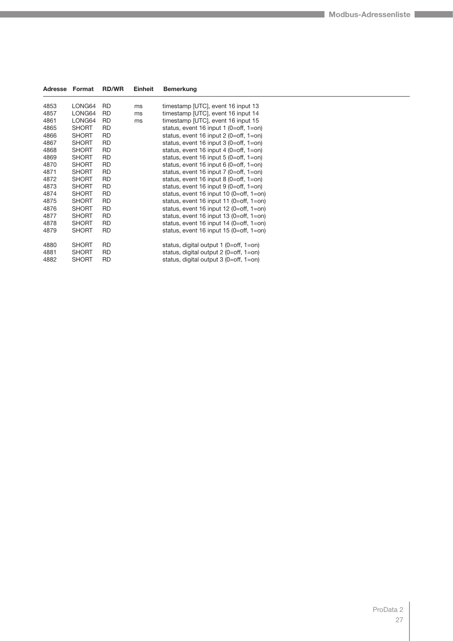| Adresse | Format       | <b>RD/WR</b> | Einheit | Bemerkung                                 |
|---------|--------------|--------------|---------|-------------------------------------------|
| 4853    | LONG64       | <b>RD</b>    | ms      | timestamp [UTC], event 16 input 13        |
| 4857    | LONG64       | RD           | ms      | timestamp [UTC], event 16 input 14        |
| 4861    | LONG64       | <b>RD</b>    | ms      | timestamp [UTC], event 16 input 15        |
| 4865    | <b>SHORT</b> | <b>RD</b>    |         | status, event 16 input 1 (0=off, $1=$ on) |
| 4866    | <b>SHORT</b> | <b>RD</b>    |         | status, event 16 input 2 (0=off, 1=on)    |
| 4867    | <b>SHORT</b> | <b>RD</b>    |         | status, event 16 input 3 (0=off, 1=on)    |
| 4868    | <b>SHORT</b> | <b>RD</b>    |         | status, event 16 input 4 (0=off, 1=on)    |
| 4869    | <b>SHORT</b> | <b>RD</b>    |         | status, event 16 input $5(0=off, 1=on)$   |
| 4870    | <b>SHORT</b> | <b>RD</b>    |         | status, event 16 input 6 $(0=off, 1=on)$  |
| 4871    | <b>SHORT</b> | <b>RD</b>    |         | status, event 16 input $7$ (0=off, 1=on)  |
| 4872    | <b>SHORT</b> | <b>RD</b>    |         | status, event 16 input 8 $(0=off, 1=on)$  |
| 4873    | <b>SHORT</b> | RD           |         | status, event 16 input $9$ (0=off, 1=on)  |
| 4874    | <b>SHORT</b> | <b>RD</b>    |         | status, event 16 input 10 (0=off, 1=on)   |
| 4875    | <b>SHORT</b> | <b>RD</b>    |         | status, event 16 input 11 (0=off, 1=on)   |
| 4876    | <b>SHORT</b> | <b>RD</b>    |         | status, event 16 input 12 (0=off, 1=on)   |
| 4877    | <b>SHORT</b> | <b>RD</b>    |         | status, event 16 input 13 (0=off, 1=on)   |
| 4878    | <b>SHORT</b> | <b>RD</b>    |         | status, event 16 input 14 (0=off, 1=on)   |
| 4879    | <b>SHORT</b> | <b>RD</b>    |         | status, event 16 input 15 (0=off, 1=on)   |
| 4880    | <b>SHORT</b> | <b>RD</b>    |         | status, digital output $1$ (0=off, 1=on)  |
| 4881    | <b>SHORT</b> | RD           |         | status, digital output $2$ (0=off, 1=on)  |
| 4882    | <b>SHORT</b> | <b>RD</b>    |         | status, digital output 3 (0=off, 1=on)    |
|         |              |              |         |                                           |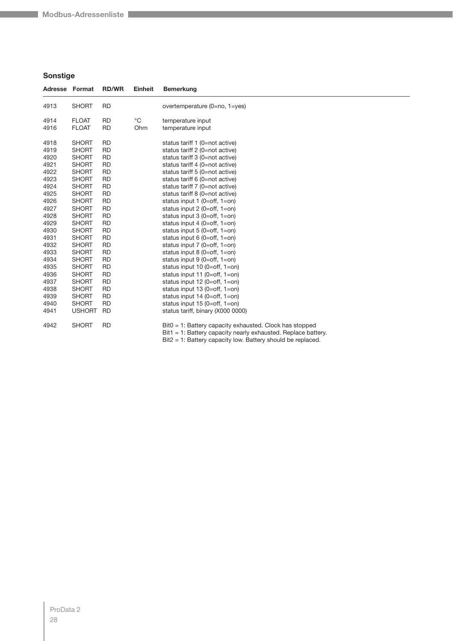### **Sonstige**

|      | Adresse Format | <b>RD/WR</b> | <b>Einheit</b> | <b>Bemerkung</b>                                                                                                               |
|------|----------------|--------------|----------------|--------------------------------------------------------------------------------------------------------------------------------|
| 4913 | <b>SHORT</b>   | <b>RD</b>    |                | overtemperature (0=no, 1=yes)                                                                                                  |
| 4914 | <b>FLOAT</b>   | <b>RD</b>    | $^{\circ}$ C   | temperature input                                                                                                              |
| 4916 | <b>FLOAT</b>   | <b>RD</b>    | Ohm            | temperature input                                                                                                              |
| 4918 | <b>SHORT</b>   | <b>RD</b>    |                | status tariff 1 (0=not active)                                                                                                 |
| 4919 | <b>SHORT</b>   | <b>RD</b>    |                | status tariff 2 (0=not active)                                                                                                 |
| 4920 | <b>SHORT</b>   | <b>RD</b>    |                | status tariff 3 (0=not active)                                                                                                 |
| 4921 | <b>SHORT</b>   | <b>RD</b>    |                | status tariff 4 (0=not active)                                                                                                 |
| 4922 | <b>SHORT</b>   | <b>RD</b>    |                | status tariff 5 (0=not active)                                                                                                 |
| 4923 | <b>SHORT</b>   | <b>RD</b>    |                | status tariff 6 (0=not active)                                                                                                 |
| 4924 | <b>SHORT</b>   | <b>RD</b>    |                | status tariff 7 (0=not active)                                                                                                 |
| 4925 | <b>SHORT</b>   | <b>RD</b>    |                | status tariff 8 (0=not active)                                                                                                 |
| 4926 | <b>SHORT</b>   | <b>RD</b>    |                | status input 1 (0=off, 1=on)                                                                                                   |
| 4927 | <b>SHORT</b>   | <b>RD</b>    |                | status input 2 (0=off, 1=on)                                                                                                   |
| 4928 | <b>SHORT</b>   | <b>RD</b>    |                | status input $3(0=off, 1=on)$                                                                                                  |
| 4929 | <b>SHORT</b>   | <b>RD</b>    |                | status input 4 ( $0=$ off, $1=$ on)                                                                                            |
| 4930 | <b>SHORT</b>   | <b>RD</b>    |                | status input $5(0=off, 1=on)$                                                                                                  |
| 4931 | <b>SHORT</b>   | <b>RD</b>    |                | status input 6 (0=off, $1=$ on)                                                                                                |
| 4932 | <b>SHORT</b>   | <b>RD</b>    |                | status input $7$ (0=off, 1=on)                                                                                                 |
| 4933 | <b>SHORT</b>   | <b>RD</b>    |                | status input 8 $(0=off, 1=on)$                                                                                                 |
| 4934 | <b>SHORT</b>   | <b>RD</b>    |                | status input $9(0=off, 1=on)$                                                                                                  |
| 4935 | <b>SHORT</b>   | <b>RD</b>    |                | status input 10 (0=off, $1=$ on)                                                                                               |
| 4936 | <b>SHORT</b>   | <b>RD</b>    |                | status input 11 ( $0=$ off, $1=$ on)                                                                                           |
| 4937 | <b>SHORT</b>   | <b>RD</b>    |                | status input $12$ (0=off, 1=on)                                                                                                |
| 4938 | <b>SHORT</b>   | <b>RD</b>    |                | status input $13(0=off, 1=on)$                                                                                                 |
| 4939 | <b>SHORT</b>   | <b>RD</b>    |                | status input $14$ (0=off, 1=on)                                                                                                |
| 4940 | <b>SHORT</b>   | <b>RD</b>    |                | status input $15(0=off, 1=on)$                                                                                                 |
| 4941 | <b>USHORT</b>  | <b>RD</b>    |                | status tariff, binary (X000 0000)                                                                                              |
| 4942 | <b>SHORT</b>   | <b>RD</b>    |                | $Bit0 = 1$ : Battery capacity exhausted. Clock has stopped<br>$Bit1 = 1$ : Battery capacity nearly exhausted. Replace battery. |
|      |                |              |                | $Bit2 = 1$ : Battery capacity low. Battery should be replaced.                                                                 |